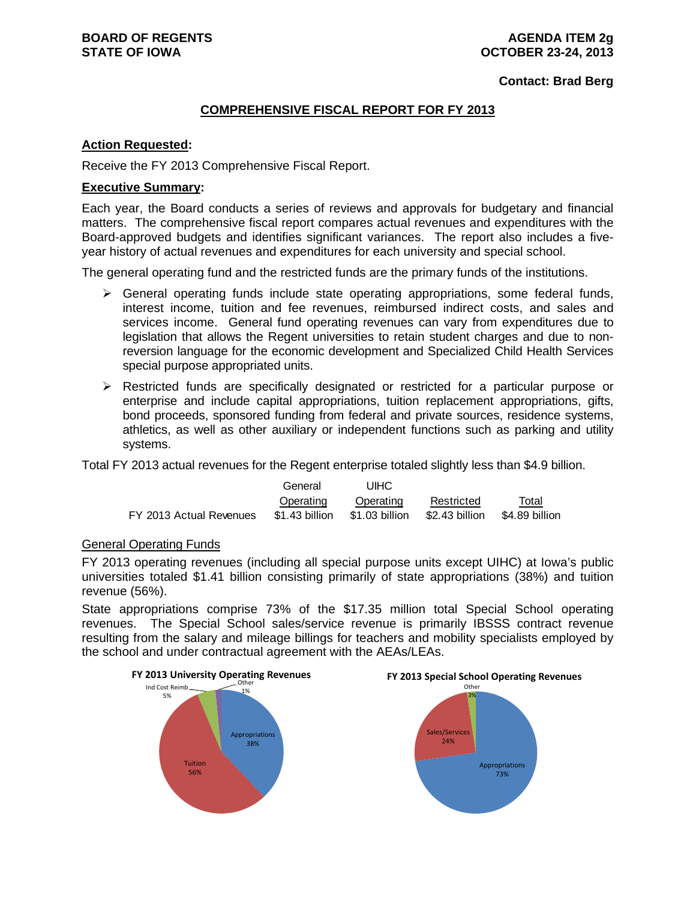**Contact: Brad Berg**

#### **COMPREHENSIVE FISCAL REPORT FOR FY 2013**

#### **Action Requested:**

Receive the FY 2013 Comprehensive Fiscal Report.

#### **Executive Summary:**

Each year, the Board conducts a series of reviews and approvals for budgetary and financial matters. The comprehensive fiscal report compares actual revenues and expenditures with the Board-approved budgets and identifies significant variances. The report also includes a fiveyear history of actual revenues and expenditures for each university and special school.

The general operating fund and the restricted funds are the primary funds of the institutions.

- $\triangleright$  General operating funds include state operating appropriations, some federal funds, interest income, tuition and fee revenues, reimbursed indirect costs, and sales and services income. General fund operating revenues can vary from expenditures due to legislation that allows the Regent universities to retain student charges and due to nonreversion language for the economic development and Specialized Child Health Services special purpose appropriated units.
- $\triangleright$  Restricted funds are specifically designated or restricted for a particular purpose or enterprise and include capital appropriations, tuition replacement appropriations, gifts, bond proceeds, sponsored funding from federal and private sources, residence systems, athletics, as well as other auxiliary or independent functions such as parking and utility systems.

Total FY 2013 actual revenues for the Regent enterprise totaled slightly less than \$4.9 billion.

|                         | General        | <b>UIHC</b>    |                |                |
|-------------------------|----------------|----------------|----------------|----------------|
|                         | Operating      | Operating      | Restricted     | Total          |
| FY 2013 Actual Revenues | \$1.43 billion | \$1.03 billion | \$2.43 billion | \$4.89 billion |

#### General Operating Funds

FY 2013 operating revenues (including all special purpose units except UIHC) at Iowa's public universities totaled \$1.41 billion consisting primarily of state appropriations (38%) and tuition revenue (56%).

State appropriations comprise 73% of the \$17.35 million total Special School operating revenues. The Special School sales/service revenue is primarily IBSSS contract revenue resulting from the salary and mileage billings for teachers and mobility specialists employed by the school and under contractual agreement with the AEAs/LEAs.

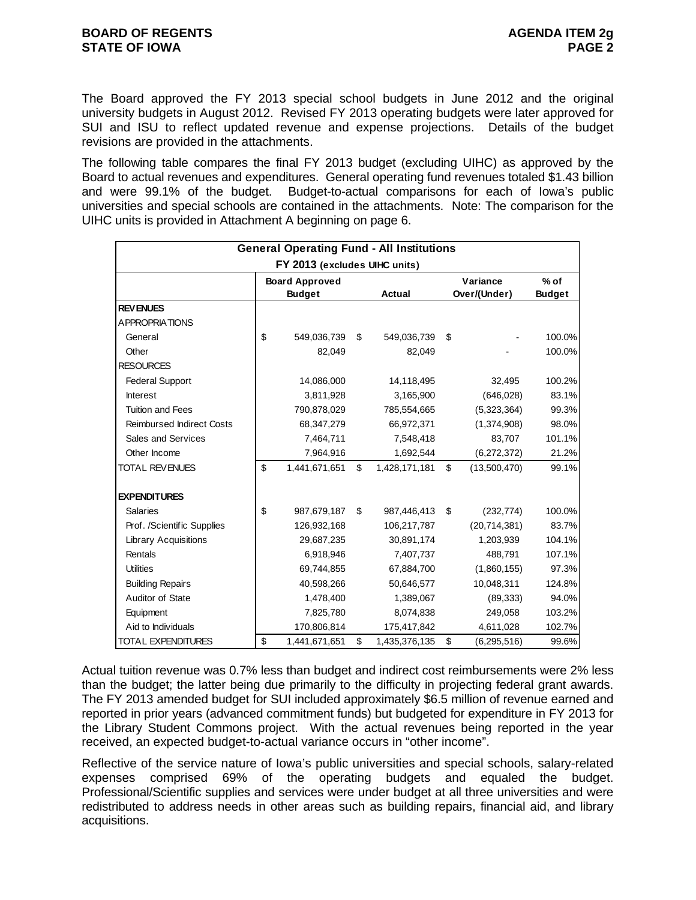The Board approved the FY 2013 special school budgets in June 2012 and the original university budgets in August 2012. Revised FY 2013 operating budgets were later approved for SUI and ISU to reflect updated revenue and expense projections. Details of the budget revisions are provided in the attachments.

The following table compares the final FY 2013 budget (excluding UIHC) as approved by the Board to actual revenues and expenditures. General operating fund revenues totaled \$1.43 billion and were 99.1% of the budget. Budget-to-actual comparisons for each of Iowa's public universities and special schools are contained in the attachments. Note: The comparison for the UIHC units is provided in Attachment A beginning on page 6.

|                                  | <b>General Operating Fund - All Institutions</b> |                                        |    |               |    |                          |                         |  |  |  |  |  |  |
|----------------------------------|--------------------------------------------------|----------------------------------------|----|---------------|----|--------------------------|-------------------------|--|--|--|--|--|--|
|                                  |                                                  | FY 2013 (excludes UIHC units)          |    |               |    |                          |                         |  |  |  |  |  |  |
|                                  |                                                  | <b>Board Approved</b><br><b>Budget</b> |    | Actual        |    | Variance<br>Over/(Under) | $%$ of<br><b>Budget</b> |  |  |  |  |  |  |
| <b>REVENUES</b>                  |                                                  |                                        |    |               |    |                          |                         |  |  |  |  |  |  |
| <b>APPROPRIATIONS</b>            |                                                  |                                        |    |               |    |                          |                         |  |  |  |  |  |  |
| General                          | \$                                               | 549,036,739                            | \$ | 549,036,739   | \$ |                          | 100.0%                  |  |  |  |  |  |  |
| Other                            |                                                  | 82,049                                 |    | 82,049        |    |                          | 100.0%                  |  |  |  |  |  |  |
| <b>RESOURCES</b>                 |                                                  |                                        |    |               |    |                          |                         |  |  |  |  |  |  |
| <b>Federal Support</b>           |                                                  | 14,086,000                             |    | 14,118,495    |    | 32,495                   | 100.2%                  |  |  |  |  |  |  |
| <b>Interest</b>                  |                                                  | 3,811,928                              |    | 3,165,900     |    | (646, 028)               | 83.1%                   |  |  |  |  |  |  |
| <b>Tuition and Fees</b>          |                                                  | 790,878,029                            |    | 785,554,665   |    | (5,323,364)              | 99.3%                   |  |  |  |  |  |  |
| <b>Reimbursed Indirect Costs</b> |                                                  | 68,347,279                             |    | 66,972,371    |    | (1,374,908)              | 98.0%                   |  |  |  |  |  |  |
| Sales and Services               |                                                  | 7,464,711                              |    | 7,548,418     |    | 83,707                   | 101.1%                  |  |  |  |  |  |  |
| Other Income                     |                                                  | 7,964,916                              |    | 1,692,544     |    | (6, 272, 372)            | 21.2%                   |  |  |  |  |  |  |
| TOTAL REVENUES                   | \$                                               | 1,441,671,651                          | \$ | 1,428,171,181 | \$ | (13,500,470)             | 99.1%                   |  |  |  |  |  |  |
| <b>EXPENDITURES</b>              |                                                  |                                        |    |               |    |                          |                         |  |  |  |  |  |  |
| <b>Salaries</b>                  | \$                                               | 987,679,187                            | \$ | 987,446,413   | \$ | (232, 774)               | 100.0%                  |  |  |  |  |  |  |
| Prof. /Scientific Supplies       |                                                  | 126,932,168                            |    | 106,217,787   |    | (20, 714, 381)           | 83.7%                   |  |  |  |  |  |  |
| <b>Library Acquisitions</b>      |                                                  | 29,687,235                             |    | 30,891,174    |    | 1,203,939                | 104.1%                  |  |  |  |  |  |  |
| Rentals                          |                                                  | 6,918,946                              |    | 7,407,737     |    | 488,791                  | 107.1%                  |  |  |  |  |  |  |
| <b>Utilities</b>                 |                                                  | 69,744,855                             |    | 67,884,700    |    | (1,860,155)              | 97.3%                   |  |  |  |  |  |  |
| <b>Building Repairs</b>          |                                                  | 40,598,266                             |    | 50,646,577    |    | 10,048,311               | 124.8%                  |  |  |  |  |  |  |
| Auditor of State                 |                                                  | 1,478,400                              |    | 1,389,067     |    | (89, 333)                | 94.0%                   |  |  |  |  |  |  |
| Equipment                        |                                                  | 7,825,780                              |    | 8,074,838     |    | 249,058                  | 103.2%                  |  |  |  |  |  |  |
| Aid to Individuals               |                                                  | 170,806,814                            |    | 175,417,842   |    | 4,611,028                | 102.7%                  |  |  |  |  |  |  |
| <b>TOTAL EXPENDITURES</b>        | \$                                               | 1,441,671,651                          | \$ | 1,435,376,135 | \$ | (6, 295, 516)            | 99.6%                   |  |  |  |  |  |  |

Actual tuition revenue was 0.7% less than budget and indirect cost reimbursements were 2% less than the budget; the latter being due primarily to the difficulty in projecting federal grant awards. The FY 2013 amended budget for SUI included approximately \$6.5 million of revenue earned and reported in prior years (advanced commitment funds) but budgeted for expenditure in FY 2013 for the Library Student Commons project. With the actual revenues being reported in the year received, an expected budget-to-actual variance occurs in "other income".

Reflective of the service nature of Iowa's public universities and special schools, salary-related expenses comprised 69% of the operating budgets and equaled the budget. Professional/Scientific supplies and services were under budget at all three universities and were redistributed to address needs in other areas such as building repairs, financial aid, and library acquisitions.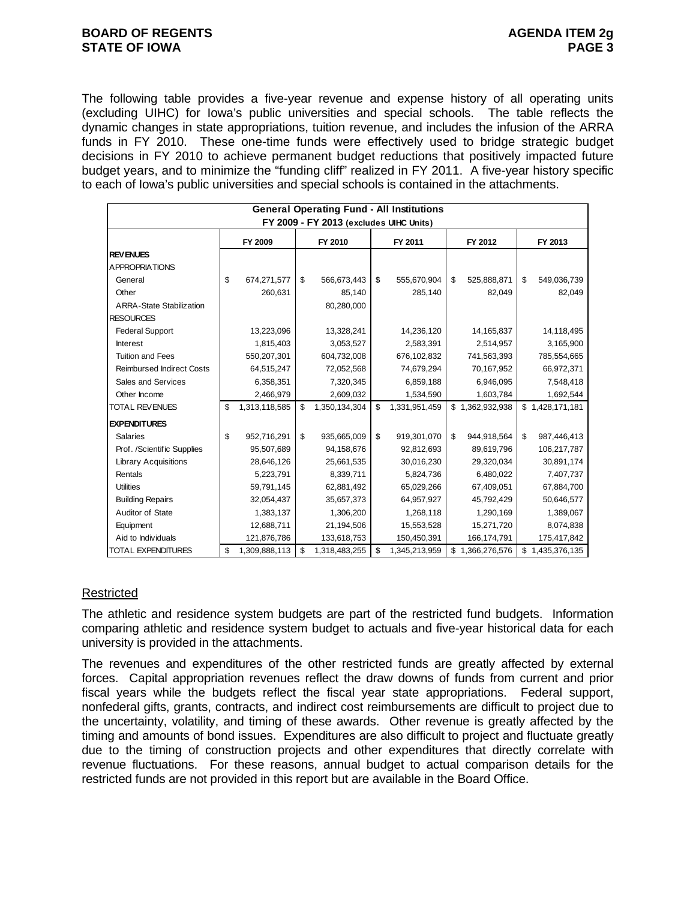#### **BOARD OF REGENTS AGENUS AGENDA ITEM 2g STATE OF IOWA** PAGE 3

The following table provides a five-year revenue and expense history of all operating units (excluding UIHC) for Iowa's public universities and special schools. The table reflects the dynamic changes in state appropriations, tuition revenue, and includes the infusion of the ARRA funds in FY 2010. These one-time funds were effectively used to bridge strategic budget decisions in FY 2010 to achieve permanent budget reductions that positively impacted future budget years, and to minimize the "funding cliff" realized in FY 2011. A five-year history specific to each of Iowa's public universities and special schools is contained in the attachments.

|                                  | <b>General Operating Fund - All Institutions</b><br>FY 2009 - FY 2013 (excludes UIHC Units) |               |     |               |    |               |    |                 |    |                 |  |  |
|----------------------------------|---------------------------------------------------------------------------------------------|---------------|-----|---------------|----|---------------|----|-----------------|----|-----------------|--|--|
|                                  |                                                                                             | FY 2009       |     | FY 2010       |    | FY 2011       |    | FY 2012         |    | FY 2013         |  |  |
| <b>REVENUES</b>                  |                                                                                             |               |     |               |    |               |    |                 |    |                 |  |  |
| <b>APPROPRIATIONS</b>            |                                                                                             |               |     |               |    |               |    |                 |    |                 |  |  |
| General                          | \$                                                                                          | 674,271,577   | \$  | 566,673,443   | \$ | 555,670,904   | \$ | 525,888,871     | \$ | 549,036,739     |  |  |
| Other                            |                                                                                             | 260,631       |     | 85,140        |    | 285,140       |    | 82,049          |    | 82,049          |  |  |
| <b>ARRA-State Stabilization</b>  |                                                                                             |               |     | 80,280,000    |    |               |    |                 |    |                 |  |  |
| <b>RESOURCES</b>                 |                                                                                             |               |     |               |    |               |    |                 |    |                 |  |  |
| <b>Federal Support</b>           |                                                                                             | 13,223,096    |     | 13,328,241    |    | 14,236,120    |    | 14,165,837      |    | 14,118,495      |  |  |
| <b>Interest</b>                  |                                                                                             | 1,815,403     |     | 3,053,527     |    | 2,583,391     |    | 2,514,957       |    | 3,165,900       |  |  |
| <b>Tuition and Fees</b>          |                                                                                             | 550,207,301   |     | 604,732,008   |    | 676,102,832   |    | 741,563,393     |    | 785,554,665     |  |  |
| <b>Reimbursed Indirect Costs</b> |                                                                                             | 64,515,247    |     | 72,052,568    |    | 74,679,294    |    | 70,167,952      |    | 66,972,371      |  |  |
| Sales and Services               |                                                                                             | 6,358,351     |     | 7,320,345     |    | 6,859,188     |    | 6,946,095       |    | 7,548,418       |  |  |
| Other Income                     |                                                                                             | 2,466,979     |     | 2,609,032     |    | 1,534,590     |    | 1,603,784       |    | 1,692,544       |  |  |
| <b>TOTAL REVENUES</b>            | \$                                                                                          | 1,313,118,585 | \$  | 1,350,134,304 | \$ | 1,331,951,459 |    | \$1,362,932,938 |    | \$1,428,171,181 |  |  |
| <b>EXPENDITURES</b>              |                                                                                             |               |     |               |    |               |    |                 |    |                 |  |  |
| <b>Salaries</b>                  | \$                                                                                          | 952,716,291   | \$  | 935,665,009   | \$ | 919,301,070   | \$ | 944,918,564     | \$ | 987,446,413     |  |  |
| Prof. /Scientific Supplies       |                                                                                             | 95,507,689    |     | 94,158,676    |    | 92,812,693    |    | 89,619,796      |    | 106,217,787     |  |  |
| <b>Library Acquisitions</b>      |                                                                                             | 28,646,126    |     | 25,661,535    |    | 30,016,230    |    | 29,320,034      |    | 30,891,174      |  |  |
| Rentals                          |                                                                                             | 5,223,791     |     | 8,339,711     |    | 5,824,736     |    | 6,480,022       |    | 7,407,737       |  |  |
| <b>Utilities</b>                 |                                                                                             | 59,791,145    |     | 62,881,492    |    | 65,029,266    |    | 67,409,051      |    | 67,884,700      |  |  |
| <b>Building Repairs</b>          |                                                                                             | 32,054,437    |     | 35,657,373    |    | 64,957,927    |    | 45,792,429      |    | 50,646,577      |  |  |
| Auditor of State                 |                                                                                             | 1,383,137     |     | 1,306,200     |    | 1,268,118     |    | 1,290,169       |    | 1,389,067       |  |  |
| Equipment                        |                                                                                             | 12,688,711    |     | 21,194,506    |    | 15,553,528    |    | 15,271,720      |    | 8,074,838       |  |  |
| Aid to Individuals               |                                                                                             | 121,876,786   |     | 133,618,753   |    | 150,450,391   |    | 166,174,791     |    | 175,417,842     |  |  |
| <b>TOTAL EXPENDITURES</b>        | \$                                                                                          | 1,309,888,113 | -\$ | 1,318,483,255 | \$ | 1,345,213,959 |    | \$1,366,276,576 | \$ | 1,435,376,135   |  |  |

#### **Restricted**

The athletic and residence system budgets are part of the restricted fund budgets. Information comparing athletic and residence system budget to actuals and five-year historical data for each university is provided in the attachments.

The revenues and expenditures of the other restricted funds are greatly affected by external forces. Capital appropriation revenues reflect the draw downs of funds from current and prior fiscal years while the budgets reflect the fiscal year state appropriations. Federal support, nonfederal gifts, grants, contracts, and indirect cost reimbursements are difficult to project due to the uncertainty, volatility, and timing of these awards. Other revenue is greatly affected by the timing and amounts of bond issues. Expenditures are also difficult to project and fluctuate greatly due to the timing of construction projects and other expenditures that directly correlate with revenue fluctuations. For these reasons, annual budget to actual comparison details for the restricted funds are not provided in this report but are available in the Board Office.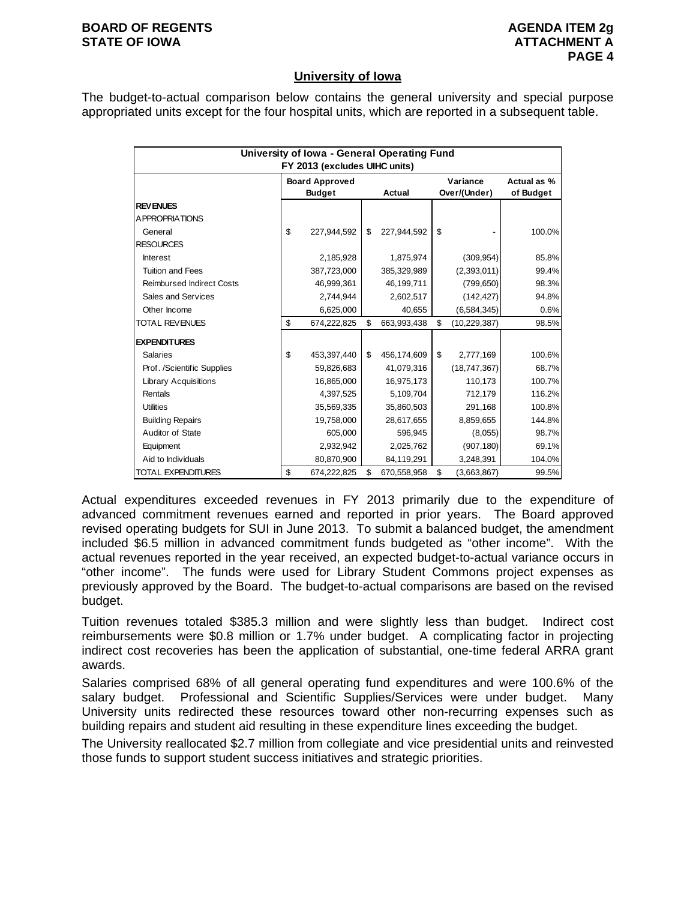#### **BOARD OF REGENTS AGENUS AGENDA ITEM 2g STATE OF IOWA ATTACHMENT A**

#### **University of Iowa**

The budget-to-actual comparison below contains the general university and special purpose appropriated units except for the four hospital units, which are reported in a subsequent table.

|                                  | University of Iowa - General Operating Fund |                   |                      |             |
|----------------------------------|---------------------------------------------|-------------------|----------------------|-------------|
|                                  | FY 2013 (excludes UIHC units)               |                   |                      |             |
|                                  | <b>Board Approved</b>                       |                   | Variance             | Actual as % |
|                                  | <b>Budget</b>                               | Actual            | Over/(Under)         | of Budget   |
| <b>REVENUES</b>                  |                                             |                   |                      |             |
| A PPROPRIATIONS                  |                                             |                   |                      |             |
| General                          | \$<br>227.944.592                           | \$<br>227,944,592 | \$                   | 100.0%      |
| <b>RESOURCES</b>                 |                                             |                   |                      |             |
| <b>Interest</b>                  | 2,185,928                                   | 1,875,974         | (309, 954)           | 85.8%       |
| <b>Tuition and Fees</b>          | 387,723,000                                 | 385,329,989       | (2,393,011)          | 99.4%       |
| <b>Reimbursed Indirect Costs</b> | 46,999,361                                  | 46,199,711        | (799, 650)           | 98.3%       |
| Sales and Services               | 2,744,944                                   | 2,602,517         | (142, 427)           | 94.8%       |
| Other Income                     | 6,625,000                                   | 40,655            | (6, 584, 345)        | 0.6%        |
| <b>TOTAL REVENUES</b>            | \$<br>674,222,825                           | \$<br>663,993,438 | \$<br>(10, 229, 387) | 98.5%       |
| <b>EXPENDITURES</b>              |                                             |                   |                      |             |
| <b>Salaries</b>                  | \$<br>453,397,440                           | \$<br>456,174,609 | \$<br>2,777,169      | 100.6%      |
| Prof. /Scientific Supplies       | 59,826,683                                  | 41,079,316        | (18,747,367)         | 68.7%       |
| <b>Library Acquisitions</b>      | 16,865,000                                  | 16,975,173        | 110,173              | 100.7%      |
| Rentals                          | 4,397,525                                   | 5,109,704         | 712,179              | 116.2%      |
| <b>Utilities</b>                 | 35,569,335                                  | 35,860,503        | 291,168              | 100.8%      |
| <b>Building Repairs</b>          | 19,758,000                                  | 28,617,655        | 8,859,655            | 144.8%      |
| Auditor of State                 | 605,000                                     | 596,945           | (8,055)              | 98.7%       |
| Equipment                        | 2,932,942                                   | 2,025,762         | (907, 180)           | 69.1%       |
| Aid to Individuals               | 80,870,900                                  | 84,119,291        | 3,248,391            | 104.0%      |
| TOTAL EXPENDITURES               | \$<br>674,222,825                           | \$<br>670,558,958 | \$<br>(3,663,867)    | 99.5%       |

Actual expenditures exceeded revenues in FY 2013 primarily due to the expenditure of advanced commitment revenues earned and reported in prior years. The Board approved revised operating budgets for SUI in June 2013. To submit a balanced budget, the amendment included \$6.5 million in advanced commitment funds budgeted as "other income". With the actual revenues reported in the year received, an expected budget-to-actual variance occurs in "other income". The funds were used for Library Student Commons project expenses as previously approved by the Board. The budget-to-actual comparisons are based on the revised budget.

Tuition revenues totaled \$385.3 million and were slightly less than budget. Indirect cost reimbursements were \$0.8 million or 1.7% under budget. A complicating factor in projecting indirect cost recoveries has been the application of substantial, one-time federal ARRA grant awards.

Salaries comprised 68% of all general operating fund expenditures and were 100.6% of the salary budget. Professional and Scientific Supplies/Services were under budget. Many University units redirected these resources toward other non-recurring expenses such as building repairs and student aid resulting in these expenditure lines exceeding the budget.

The University reallocated \$2.7 million from collegiate and vice presidential units and reinvested those funds to support student success initiatives and strategic priorities.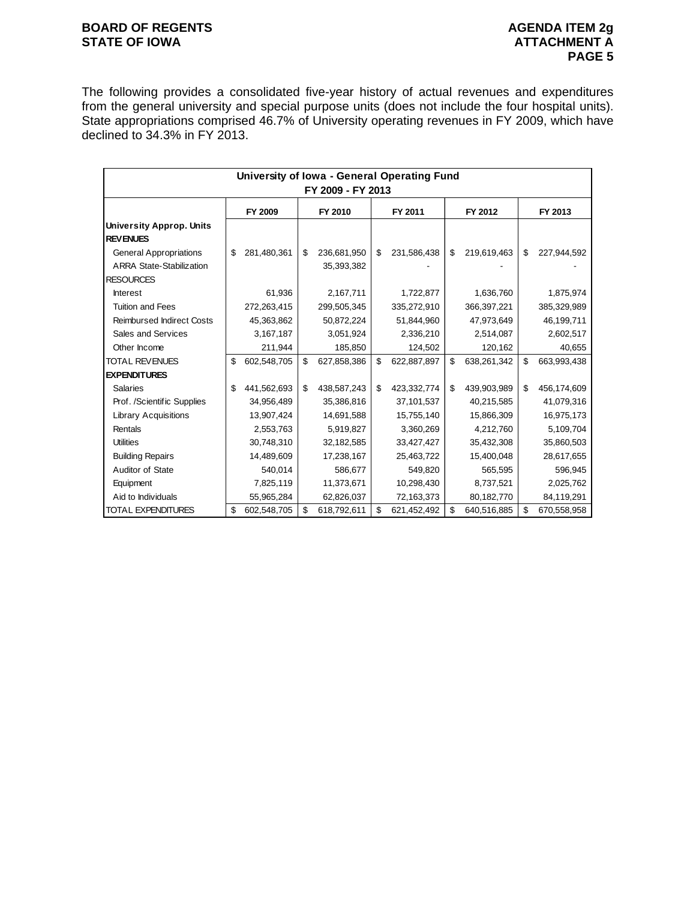#### **BOARD OF REGENTS BOARD OF REGENTS** STATE OF IOWA **ATTACHMENT A**

The following provides a consolidated five-year history of actual revenues and expenditures from the general university and special purpose units (does not include the four hospital units). State appropriations comprised 46.7% of University operating revenues in FY 2009, which have declined to 34.3% in FY 2013.

|                                  | University of Iowa - General Operating Fund<br>FY 2009 - FY 2013 |             |    |             |    |             |    |             |    |             |  |  |  |
|----------------------------------|------------------------------------------------------------------|-------------|----|-------------|----|-------------|----|-------------|----|-------------|--|--|--|
|                                  |                                                                  | FY 2009     |    | FY 2010     |    | FY 2011     |    | FY 2012     |    | FY 2013     |  |  |  |
| <b>University Approp. Units</b>  |                                                                  |             |    |             |    |             |    |             |    |             |  |  |  |
| <b>REVENUES</b>                  |                                                                  |             |    |             |    |             |    |             |    |             |  |  |  |
| <b>General Appropriations</b>    | \$                                                               | 281,480,361 | \$ | 236,681,950 | \$ | 231,586,438 | \$ | 219,619,463 | \$ | 227,944,592 |  |  |  |
| <b>ARRA State-Stabilization</b>  |                                                                  |             |    | 35,393,382  |    |             |    |             |    |             |  |  |  |
| <b>RESOURCES</b>                 |                                                                  |             |    |             |    |             |    |             |    |             |  |  |  |
| <b>Interest</b>                  |                                                                  | 61,936      |    | 2,167,711   |    | 1,722,877   |    | 1,636,760   |    | 1,875,974   |  |  |  |
| <b>Tuition and Fees</b>          |                                                                  | 272,263,415 |    | 299,505,345 |    | 335,272,910 |    | 366,397,221 |    | 385,329,989 |  |  |  |
| <b>Reimbursed Indirect Costs</b> |                                                                  | 45,363,862  |    | 50,872,224  |    | 51,844,960  |    | 47,973,649  |    | 46,199,711  |  |  |  |
| Sales and Services               |                                                                  | 3,167,187   |    | 3,051,924   |    | 2,336,210   |    | 2,514,087   |    | 2,602,517   |  |  |  |
| Other Income                     |                                                                  | 211,944     |    | 185,850     |    | 124,502     |    | 120,162     |    | 40,655      |  |  |  |
| <b>TOTAL REVENUES</b>            | \$                                                               | 602,548,705 | \$ | 627,858,386 | \$ | 622,887,897 | \$ | 638,261,342 | \$ | 663,993,438 |  |  |  |
| <b>EXPENDITURES</b>              |                                                                  |             |    |             |    |             |    |             |    |             |  |  |  |
| <b>Salaries</b>                  | \$                                                               | 441,562,693 | \$ | 438,587,243 | \$ | 423,332,774 | \$ | 439,903,989 | \$ | 456,174,609 |  |  |  |
| Prof. /Scientific Supplies       |                                                                  | 34,956,489  |    | 35,386,816  |    | 37,101,537  |    | 40,215,585  |    | 41,079,316  |  |  |  |
| <b>Library Acquisitions</b>      |                                                                  | 13,907,424  |    | 14,691,588  |    | 15,755,140  |    | 15,866,309  |    | 16,975,173  |  |  |  |
| Rentals                          |                                                                  | 2,553,763   |    | 5,919,827   |    | 3,360,269   |    | 4,212,760   |    | 5,109,704   |  |  |  |
| <b>Utilities</b>                 |                                                                  | 30,748,310  |    | 32,182,585  |    | 33,427,427  |    | 35,432,308  |    | 35,860,503  |  |  |  |
| <b>Building Repairs</b>          |                                                                  | 14,489,609  |    | 17,238,167  |    | 25,463,722  |    | 15,400,048  |    | 28,617,655  |  |  |  |
| Auditor of State                 |                                                                  | 540,014     |    | 586,677     |    | 549,820     |    | 565,595     |    | 596,945     |  |  |  |
| Equipment                        |                                                                  | 7,825,119   |    | 11,373,671  |    | 10,298,430  |    | 8,737,521   |    | 2,025,762   |  |  |  |
| Aid to Individuals               |                                                                  | 55,965,284  |    | 62,826,037  |    | 72,163,373  |    | 80,182,770  |    | 84,119,291  |  |  |  |
| <b>TOTAL EXPENDITURES</b>        | \$                                                               | 602,548,705 | \$ | 618,792,611 | \$ | 621,452,492 | \$ | 640,516,885 | \$ | 670,558,958 |  |  |  |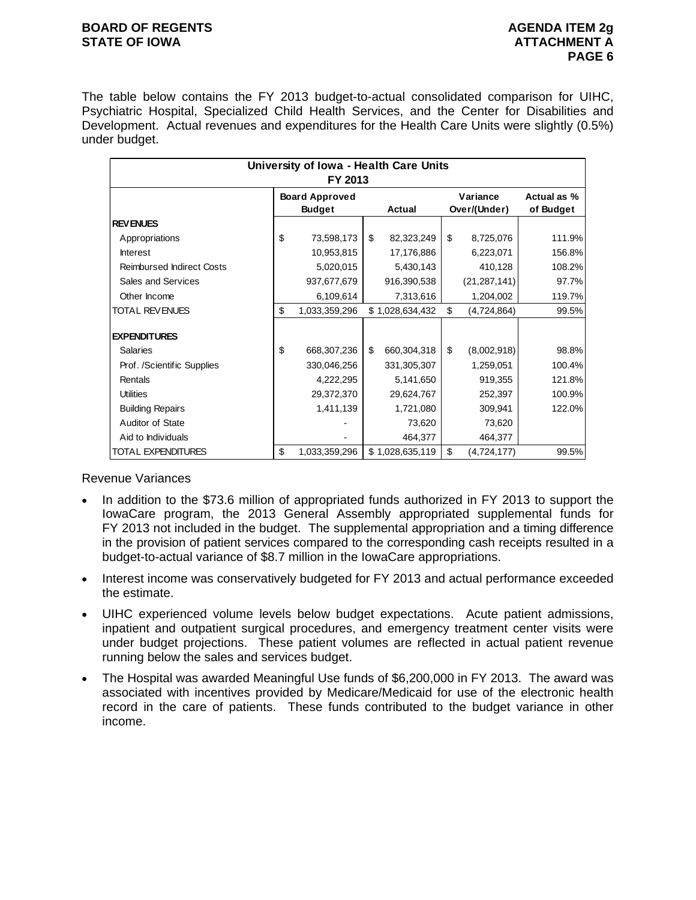#### **BOARD OF REGENTS AGENUS AGENDA ITEM 2g STATE OF IOWA ATTACHMENT A**

The table below contains the FY 2013 budget-to-actual consolidated comparison for UIHC, Psychiatric Hospital, Specialized Child Health Services, and the Center for Disabilities and Development. Actual revenues and expenditures for the Health Care Units were slightly (0.5%) under budget.

|                                  | University of Iowa - Health Care Units<br>FY 2013 |                   |                          |                          |
|----------------------------------|---------------------------------------------------|-------------------|--------------------------|--------------------------|
|                                  | <b>Board Approved</b><br><b>Budget</b>            | <b>Actual</b>     | Variance<br>Over/(Under) | Actual as %<br>of Budget |
| <b>REVENUES</b>                  |                                                   |                   |                          |                          |
| Appropriations                   | \$<br>73,598,173                                  | \$<br>82,323,249  | \$<br>8,725,076          | 111.9%                   |
| <b>Interest</b>                  | 10,953,815                                        | 17,176,886        | 6,223,071                | 156.8%                   |
| <b>Reimbursed Indirect Costs</b> | 5,020,015                                         | 5,430,143         | 410,128                  | 108.2%                   |
| Sales and Services               | 937,677,679                                       | 916,390,538       | (21, 287, 141)           | 97.7%                    |
| Other Income                     | 6,109,614                                         | 7,313,616         | 1,204,002                | 119.7%                   |
| <b>TOTAL REVENUES</b>            | \$<br>1,033,359,296                               | \$1,028,634,432   | \$<br>(4,724,864)        | 99.5%                    |
| <b>EXPENDITURES</b>              |                                                   |                   |                          |                          |
| <b>Salaries</b>                  | \$<br>668,307,236                                 | \$<br>660,304,318 | \$<br>(8,002,918)        | 98.8%                    |
| Prof. /Scientific Supplies       | 330,046,256                                       | 331,305,307       | 1,259,051                | 100.4%                   |
| Rentals                          | 4,222,295                                         | 5,141,650         | 919,355                  | 121.8%                   |
| <b>Utilities</b>                 | 29,372,370                                        | 29,624,767        | 252,397                  | 100.9%                   |
| <b>Building Repairs</b>          | 1,411,139                                         | 1,721,080         | 309,941                  | 122.0%                   |
| Auditor of State                 |                                                   | 73,620            | 73,620                   |                          |
| Aid to Individuals               |                                                   | 464,377           | 464,377                  |                          |
| <b>TOTAL EXPENDITURES</b>        | \$<br>1,033,359,296                               | \$1,028,635,119   | \$<br>(4, 724, 177)      | 99.5%                    |

Revenue Variances

- In addition to the \$73.6 million of appropriated funds authorized in FY 2013 to support the IowaCare program, the 2013 General Assembly appropriated supplemental funds for FY 2013 not included in the budget. The supplemental appropriation and a timing difference in the provision of patient services compared to the corresponding cash receipts resulted in a budget-to-actual variance of \$8.7 million in the IowaCare appropriations.
- Interest income was conservatively budgeted for FY 2013 and actual performance exceeded the estimate.
- UIHC experienced volume levels below budget expectations. Acute patient admissions, inpatient and outpatient surgical procedures, and emergency treatment center visits were under budget projections. These patient volumes are reflected in actual patient revenue running below the sales and services budget.
- The Hospital was awarded Meaningful Use funds of \$6,200,000 in FY 2013. The award was associated with incentives provided by Medicare/Medicaid for use of the electronic health record in the care of patients. These funds contributed to the budget variance in other income.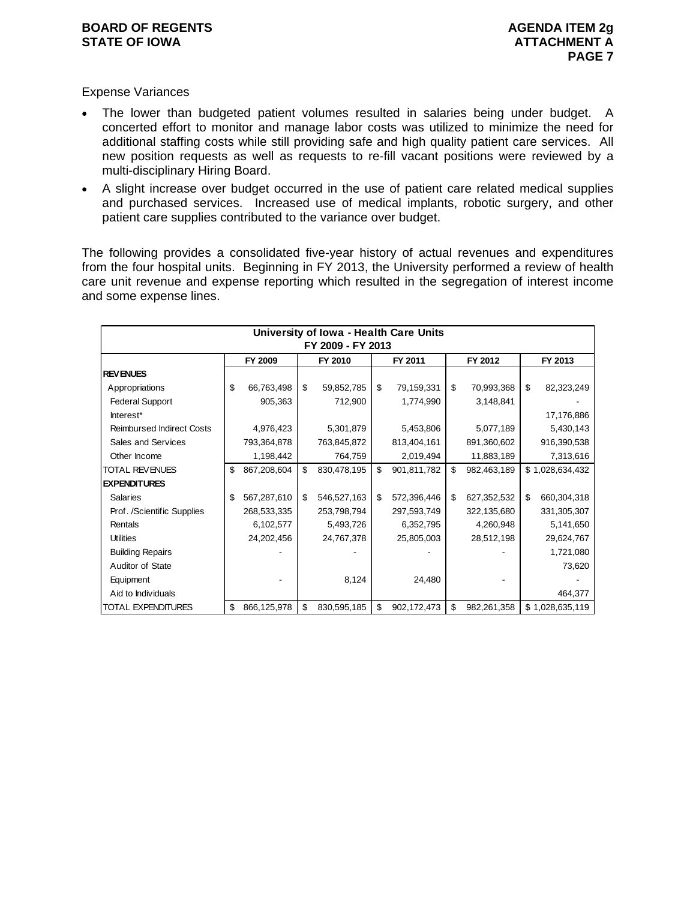Expense Variances

- The lower than budgeted patient volumes resulted in salaries being under budget. A concerted effort to monitor and manage labor costs was utilized to minimize the need for additional staffing costs while still providing safe and high quality patient care services. All new position requests as well as requests to re-fill vacant positions were reviewed by a multi-disciplinary Hiring Board.
- A slight increase over budget occurred in the use of patient care related medical supplies and purchased services. Increased use of medical implants, robotic surgery, and other patient care supplies contributed to the variance over budget.

The following provides a consolidated five-year history of actual revenues and expenditures from the four hospital units. Beginning in FY 2013, the University performed a review of health care unit revenue and expense reporting which resulted in the segregation of interest income and some expense lines.

|                                  | University of Iowa - Health Care Units |             |    |             |    |             |    |             |    |                 |  |  |  |
|----------------------------------|----------------------------------------|-------------|----|-------------|----|-------------|----|-------------|----|-----------------|--|--|--|
|                                  | FY 2009 - FY 2013                      |             |    |             |    |             |    |             |    |                 |  |  |  |
|                                  |                                        | FY 2009     |    | FY 2010     |    | FY 2011     |    | FY 2012     |    | FY 2013         |  |  |  |
| <b>REVENUES</b>                  |                                        |             |    |             |    |             |    |             |    |                 |  |  |  |
| Appropriations                   | \$                                     | 66,763,498  | \$ | 59,852,785  | \$ | 79,159,331  | \$ | 70,993,368  | \$ | 82,323,249      |  |  |  |
| <b>Federal Support</b>           |                                        | 905,363     |    | 712,900     |    | 1,774,990   |    | 3,148,841   |    |                 |  |  |  |
| Interest*                        |                                        |             |    |             |    |             |    |             |    | 17,176,886      |  |  |  |
| <b>Reimbursed Indirect Costs</b> |                                        | 4,976,423   |    | 5,301,879   |    | 5,453,806   |    | 5,077,189   |    | 5,430,143       |  |  |  |
| Sales and Services               |                                        | 793,364,878 |    | 763,845,872 |    | 813,404,161 |    | 891,360,602 |    | 916,390,538     |  |  |  |
| Other Income                     |                                        | 1,198,442   |    | 764,759     |    | 2,019,494   |    | 11,883,189  |    | 7,313,616       |  |  |  |
| <b>TOTAL REVENUES</b>            | \$                                     | 867,208,604 | \$ | 830,478,195 | \$ | 901,811,782 | \$ | 982,463,189 |    | \$1,028,634,432 |  |  |  |
| <b>EXPENDITURES</b>              |                                        |             |    |             |    |             |    |             |    |                 |  |  |  |
| <b>Salaries</b>                  | \$                                     | 567,287,610 | \$ | 546,527,163 | \$ | 572,396,446 | \$ | 627,352,532 | \$ | 660,304,318     |  |  |  |
| Prof. /Scientific Supplies       |                                        | 268,533,335 |    | 253,798,794 |    | 297,593,749 |    | 322,135,680 |    | 331,305,307     |  |  |  |
| Rentals                          |                                        | 6,102,577   |    | 5,493,726   |    | 6,352,795   |    | 4,260,948   |    | 5,141,650       |  |  |  |
| <b>Utilities</b>                 |                                        | 24,202,456  |    | 24,767,378  |    | 25,805,003  |    | 28,512,198  |    | 29,624,767      |  |  |  |
| <b>Building Repairs</b>          |                                        |             |    |             |    |             |    |             |    | 1,721,080       |  |  |  |
| Auditor of State                 |                                        |             |    |             |    |             |    |             |    | 73,620          |  |  |  |
| Equipment                        |                                        |             |    | 8,124       |    | 24,480      |    |             |    |                 |  |  |  |
| Aid to Individuals               |                                        |             |    |             |    |             |    |             |    | 464,377         |  |  |  |
| TOTAL EXPENDITURES               | \$                                     | 866,125,978 | \$ | 830,595,185 | \$ | 902,172,473 | \$ | 982,261,358 |    | \$1,028,635,119 |  |  |  |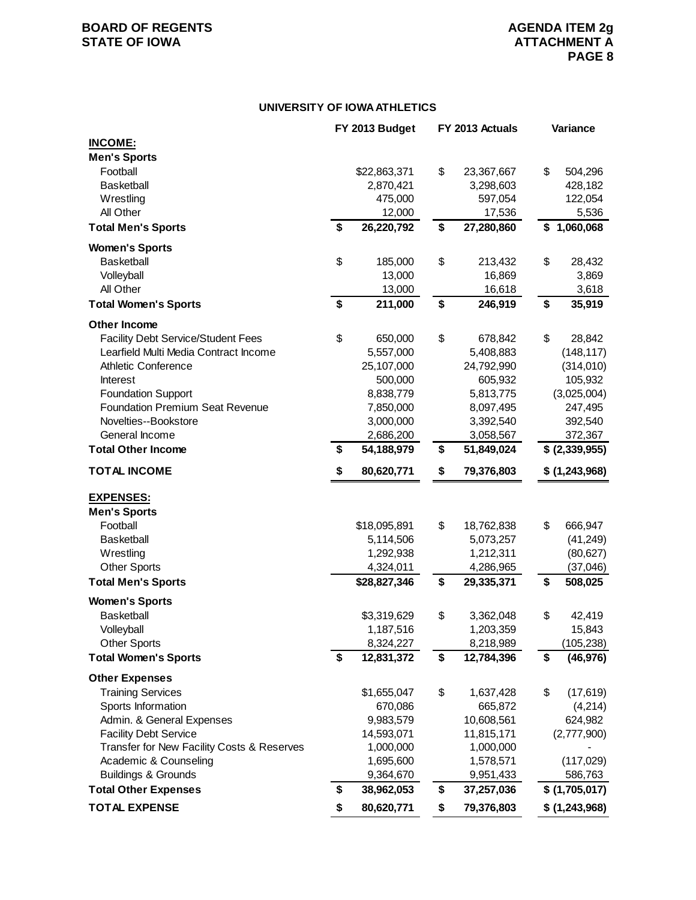## **BOARD OF REGENTS AGENUAL STATE OF IOWA**<br> **BOARD OF IOWA**<br> **BOARD OF IOWA**<br> **ATTACHMENT A**

#### **UNIVERSITY OF IOWA ATHLETICS**

|                                            | FY 2013 Budget   | FY 2013 Actuals  | Variance        |
|--------------------------------------------|------------------|------------------|-----------------|
| <b>INCOME:</b>                             |                  |                  |                 |
| <b>Men's Sports</b>                        |                  |                  |                 |
| Football                                   | \$22,863,371     | \$<br>23,367,667 | \$<br>504,296   |
| <b>Basketball</b>                          | 2,870,421        | 3,298,603        | 428,182         |
| Wrestling                                  | 475,000          | 597,054          | 122,054         |
| All Other                                  | 12,000           | 17,536           | 5,536           |
| <b>Total Men's Sports</b>                  | \$<br>26,220,792 | \$<br>27,280,860 | \$1,060,068     |
| <b>Women's Sports</b>                      |                  |                  |                 |
| <b>Basketball</b>                          | \$<br>185,000    | \$<br>213,432    | \$<br>28,432    |
| Volleyball                                 | 13,000           | 16,869           | 3,869           |
| All Other                                  | 13,000           | 16,618           | 3,618           |
| <b>Total Women's Sports</b>                | \$<br>211,000    | \$<br>246,919    | \$<br>35,919    |
| <b>Other Income</b>                        |                  |                  |                 |
| <b>Facility Debt Service/Student Fees</b>  | \$<br>650,000    | \$<br>678,842    | \$<br>28,842    |
| Learfield Multi Media Contract Income      | 5,557,000        | 5,408,883        | (148, 117)      |
| <b>Athletic Conference</b>                 | 25,107,000       | 24,792,990       | (314,010)       |
| <b>Interest</b>                            | 500,000          | 605,932          | 105,932         |
| <b>Foundation Support</b>                  | 8,838,779        | 5,813,775        | (3,025,004)     |
| <b>Foundation Premium Seat Revenue</b>     | 7,850,000        | 8,097,495        | 247,495         |
| Novelties--Bookstore                       | 3,000,000        | 3,392,540        | 392,540         |
| General Income                             | 2,686,200        | 3,058,567        | 372,367         |
| <b>Total Other Income</b>                  | \$<br>54,188,979 | \$<br>51,849,024 | \$ (2,339,955)  |
| <b>TOTAL INCOME</b>                        | \$<br>80,620,771 | \$<br>79,376,803 | \$ (1,243,968)  |
| <b>EXPENSES:</b>                           |                  |                  |                 |
| <b>Men's Sports</b>                        |                  |                  |                 |
| Football                                   | \$18,095,891     | \$<br>18,762,838 | \$<br>666,947   |
| <b>Basketball</b>                          | 5,114,506        | 5,073,257        | (41, 249)       |
| Wrestling                                  | 1,292,938        | 1,212,311        | (80, 627)       |
| <b>Other Sports</b>                        | 4,324,011        | 4,286,965        | (37,046)        |
| <b>Total Men's Sports</b>                  | \$28,827,346     | \$<br>29,335,371 | \$<br>508,025   |
| <b>Women's Sports</b>                      |                  |                  |                 |
| <b>Basketball</b>                          | \$3,319,629      | \$<br>3,362,048  | \$<br>42,419    |
| Volleyball                                 | 1,187,516        | 1,203,359        | 15,843          |
| <b>Other Sports</b>                        | 8,324,227        | 8,218,989        | (105, 238)      |
| <b>Total Women's Sports</b>                | \$<br>12,831,372 | \$<br>12,784,396 | \$<br>(46, 976) |
| <b>Other Expenses</b>                      |                  |                  |                 |
| <b>Training Services</b>                   | \$1,655,047      | \$<br>1,637,428  | \$<br>(17, 619) |
| Sports Information                         | 670,086          | 665,872          | (4,214)         |
| Admin. & General Expenses                  | 9,983,579        | 10,608,561       | 624,982         |
| <b>Facility Debt Service</b>               | 14,593,071       | 11,815,171       | (2,777,900)     |
| Transfer for New Facility Costs & Reserves | 1,000,000        | 1,000,000        |                 |
| Academic & Counseling                      | 1,695,600        | 1,578,571        | (117, 029)      |
| <b>Buildings &amp; Grounds</b>             | 9,364,670        | 9,951,433        | 586,763         |
| <b>Total Other Expenses</b>                | \$<br>38,962,053 | \$<br>37,257,036 | \$(1,705,017)   |
| <b>TOTAL EXPENSE</b>                       | \$<br>80,620,771 | \$<br>79,376,803 | \$ (1,243,968)  |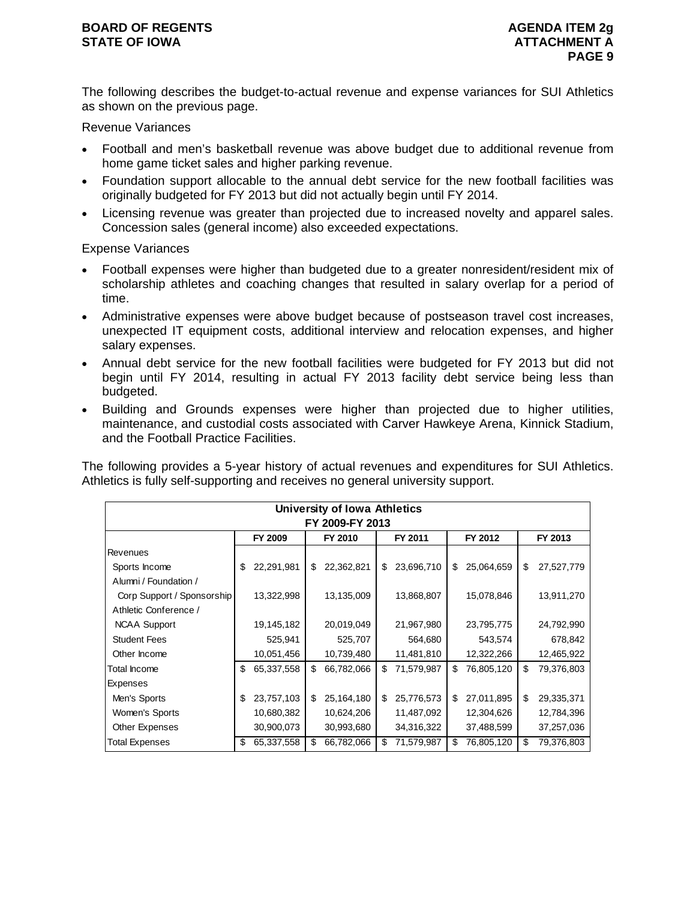The following describes the budget-to-actual revenue and expense variances for SUI Athletics as shown on the previous page.

Revenue Variances

- Football and men's basketball revenue was above budget due to additional revenue from home game ticket sales and higher parking revenue.
- Foundation support allocable to the annual debt service for the new football facilities was originally budgeted for FY 2013 but did not actually begin until FY 2014.
- Licensing revenue was greater than projected due to increased novelty and apparel sales. Concession sales (general income) also exceeded expectations.

Expense Variances

- Football expenses were higher than budgeted due to a greater nonresident/resident mix of scholarship athletes and coaching changes that resulted in salary overlap for a period of time.
- Administrative expenses were above budget because of postseason travel cost increases, unexpected IT equipment costs, additional interview and relocation expenses, and higher salary expenses.
- Annual debt service for the new football facilities were budgeted for FY 2013 but did not begin until FY 2014, resulting in actual FY 2013 facility debt service being less than budgeted.
- Building and Grounds expenses were higher than projected due to higher utilities, maintenance, and custodial costs associated with Carver Hawkeye Arena, Kinnick Stadium, and the Football Practice Facilities.

The following provides a 5-year history of actual revenues and expenditures for SUI Athletics. Athletics is fully self-supporting and receives no general university support.

|                            | <b>University of Iowa Athletics</b> |            |    |            |    |            |    |            |    |            |  |  |  |
|----------------------------|-------------------------------------|------------|----|------------|----|------------|----|------------|----|------------|--|--|--|
| FY 2009-FY 2013            |                                     |            |    |            |    |            |    |            |    |            |  |  |  |
|                            |                                     | FY 2009    |    | FY 2010    |    | FY 2011    |    | FY 2012    |    | FY 2013    |  |  |  |
| Revenues                   |                                     |            |    |            |    |            |    |            |    |            |  |  |  |
| Sports Income              | \$                                  | 22,291,981 | \$ | 22,362,821 | \$ | 23,696,710 | \$ | 25,064,659 | \$ | 27,527,779 |  |  |  |
| Alumni / Foundation /      |                                     |            |    |            |    |            |    |            |    |            |  |  |  |
| Corp Support / Sponsorship |                                     | 13,322,998 |    | 13,135,009 |    | 13,868,807 |    | 15,078,846 |    | 13,911,270 |  |  |  |
| Athletic Conference /      |                                     |            |    |            |    |            |    |            |    |            |  |  |  |
| <b>NCAA Support</b>        |                                     | 19,145,182 |    | 20,019,049 |    | 21,967,980 |    | 23,795,775 |    | 24,792,990 |  |  |  |
| <b>Student Fees</b>        |                                     | 525,941    |    | 525,707    |    | 564,680    |    | 543,574    |    | 678,842    |  |  |  |
| Other Income               |                                     | 10,051,456 |    | 10,739,480 |    | 11,481,810 |    | 12,322,266 |    | 12,465,922 |  |  |  |
| <b>Total Income</b>        | \$                                  | 65,337,558 | \$ | 66,782,066 | \$ | 71,579,987 | \$ | 76,805,120 | \$ | 79,376,803 |  |  |  |
| Expenses                   |                                     |            |    |            |    |            |    |            |    |            |  |  |  |
| Men's Sports               | \$                                  | 23,757,103 | \$ | 25,164,180 | \$ | 25,776,573 | \$ | 27,011,895 | \$ | 29,335,371 |  |  |  |
| Women's Sports             |                                     | 10,680,382 |    | 10,624,206 |    | 11,487,092 |    | 12,304,626 |    | 12,784,396 |  |  |  |
| Other Expenses             |                                     | 30,900,073 |    | 30,993,680 |    | 34,316,322 |    | 37,488,599 |    | 37,257,036 |  |  |  |
| <b>Total Expenses</b>      | \$                                  | 65,337,558 | \$ | 66,782,066 | \$ | 71,579,987 | \$ | 76,805,120 | \$ | 79,376,803 |  |  |  |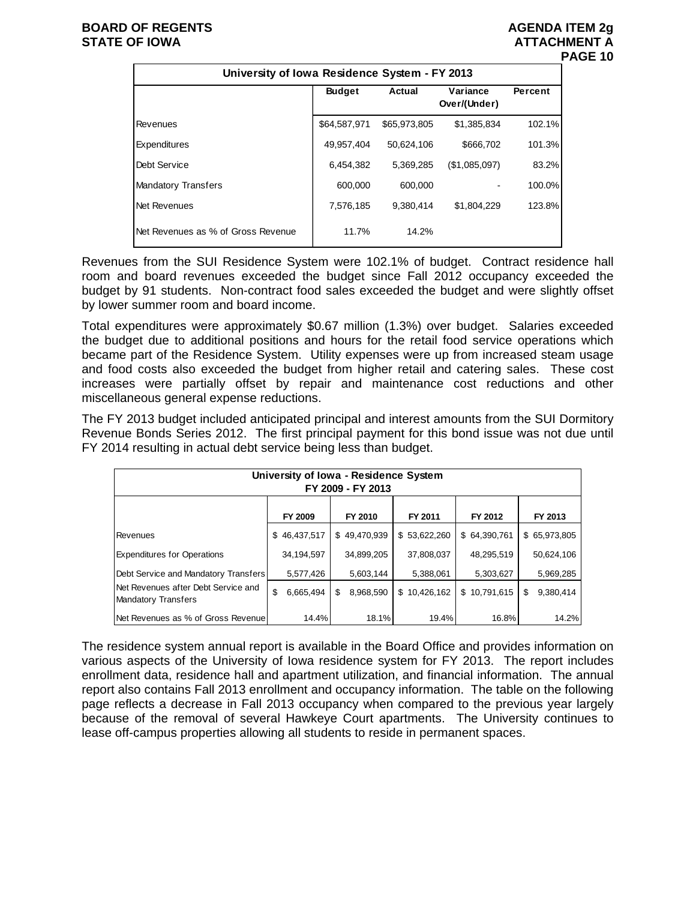#### **BOARD OF REGENTS AGENUS AGENDA ITEM 2g STATE OF IOWA ATTACHMENT A**

# **PAGE 10**

| University of Iowa Residence System - FY 2013 |               |              |                          |         |
|-----------------------------------------------|---------------|--------------|--------------------------|---------|
|                                               | <b>Budget</b> | Actual       | Variance<br>Over/(Under) | Percent |
| Revenues                                      | \$64,587,971  | \$65,973,805 | \$1,385,834              | 102.1%  |
| Expenditures                                  | 49,957,404    | 50,624,106   | \$666,702                | 101.3%  |
| Debt Service                                  | 6,454,382     | 5,369,285    | (\$1,085,097)            | 83.2%   |
| <b>Mandatory Transfers</b>                    | 600.000       | 600.000      |                          | 100.0%  |
| Net Revenues                                  | 7,576,185     | 9.380.414    | \$1.804.229              | 123.8%  |
| Net Revenues as % of Gross Revenue            | 11.7%         | 14.2%        |                          |         |

Revenues from the SUI Residence System were 102.1% of budget. Contract residence hall room and board revenues exceeded the budget since Fall 2012 occupancy exceeded the budget by 91 students. Non-contract food sales exceeded the budget and were slightly offset by lower summer room and board income.

Total expenditures were approximately \$0.67 million (1.3%) over budget. Salaries exceeded the budget due to additional positions and hours for the retail food service operations which became part of the Residence System. Utility expenses were up from increased steam usage and food costs also exceeded the budget from higher retail and catering sales. These cost increases were partially offset by repair and maintenance cost reductions and other miscellaneous general expense reductions.

The FY 2013 budget included anticipated principal and interest amounts from the SUI Dormitory Revenue Bonds Series 2012. The first principal payment for this bond issue was not due until FY 2014 resulting in actual debt service being less than budget.

| University of Iowa - Residence System<br>FY 2009 - FY 2013        |    |              |    |              |  |              |  |              |    |              |  |  |
|-------------------------------------------------------------------|----|--------------|----|--------------|--|--------------|--|--------------|----|--------------|--|--|
|                                                                   |    | FY 2009      |    | FY 2010      |  | FY 2011      |  | FY 2012      |    | FY 2013      |  |  |
| <b>Revenues</b>                                                   |    | \$46,437,517 |    | \$49,470,939 |  | \$53,622,260 |  | \$64,390,761 |    | \$65,973,805 |  |  |
| <b>Expenditures for Operations</b>                                |    | 34,194,597   |    | 34,899,205   |  | 37,808,037   |  | 48,295,519   |    | 50,624,106   |  |  |
| Debt Service and Mandatory Transfers                              |    | 5,577,426    |    | 5,603,144    |  | 5,388,061    |  | 5,303,627    |    | 5,969,285    |  |  |
| Net Revenues after Debt Service and<br><b>Mandatory Transfers</b> | \$ | 6,665,494    | \$ | 8,968,590    |  | \$10,426,162 |  | \$10,791,615 | \$ | 9,380,414    |  |  |
| Net Revenues as % of Gross Revenue                                |    | 14.4%        |    | 18.1%        |  | 19.4%        |  | 16.8%        |    | 14.2%        |  |  |

The residence system annual report is available in the Board Office and provides information on various aspects of the University of Iowa residence system for FY 2013. The report includes enrollment data, residence hall and apartment utilization, and financial information. The annual report also contains Fall 2013 enrollment and occupancy information. The table on the following page reflects a decrease in Fall 2013 occupancy when compared to the previous year largely because of the removal of several Hawkeye Court apartments. The University continues to lease off-campus properties allowing all students to reside in permanent spaces.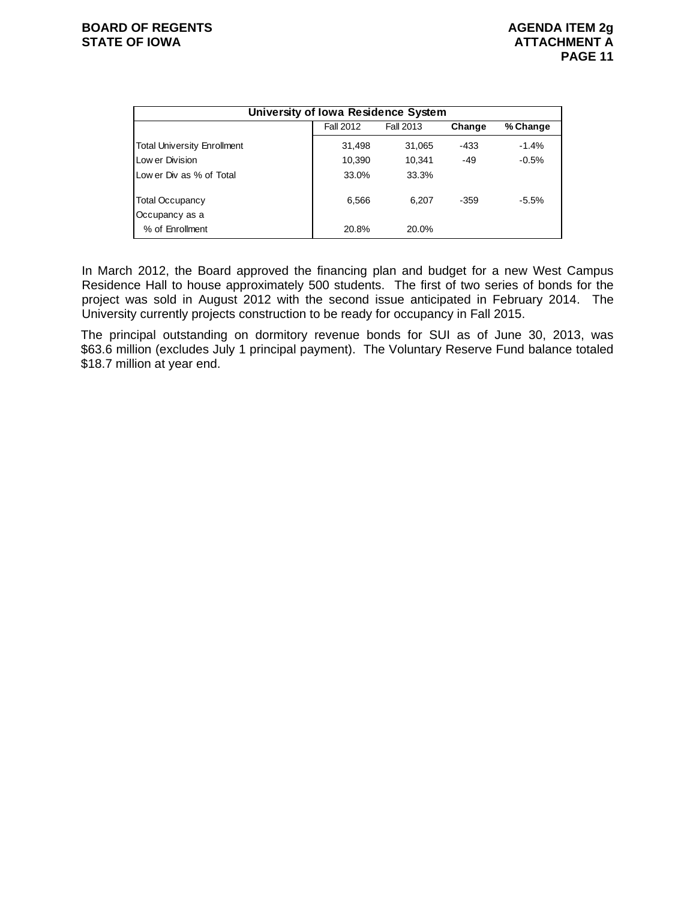| University of Iowa Residence System |                  |           |        |          |  |  |  |  |  |  |  |  |  |
|-------------------------------------|------------------|-----------|--------|----------|--|--|--|--|--|--|--|--|--|
|                                     | <b>Fall 2012</b> | Fall 2013 | Change | % Change |  |  |  |  |  |  |  |  |  |
| <b>Total University Enrollment</b>  | 31.498           | 31,065    | $-433$ | $-1.4%$  |  |  |  |  |  |  |  |  |  |
| Low er Division                     | 10,390           | 10.341    | $-49$  | $-0.5%$  |  |  |  |  |  |  |  |  |  |
| Low er Div as % of Total            | 33.0%            | 33.3%     |        |          |  |  |  |  |  |  |  |  |  |
| <b>Total Occupancy</b>              | 6,566            | 6.207     | -359   | $-5.5%$  |  |  |  |  |  |  |  |  |  |
| Occupancy as a                      |                  |           |        |          |  |  |  |  |  |  |  |  |  |
| % of Enrollment                     | 20.8%            | 20.0%     |        |          |  |  |  |  |  |  |  |  |  |

In March 2012, the Board approved the financing plan and budget for a new West Campus Residence Hall to house approximately 500 students. The first of two series of bonds for the project was sold in August 2012 with the second issue anticipated in February 2014. The University currently projects construction to be ready for occupancy in Fall 2015.

The principal outstanding on dormitory revenue bonds for SUI as of June 30, 2013, was \$63.6 million (excludes July 1 principal payment). The Voluntary Reserve Fund balance totaled \$18.7 million at year end.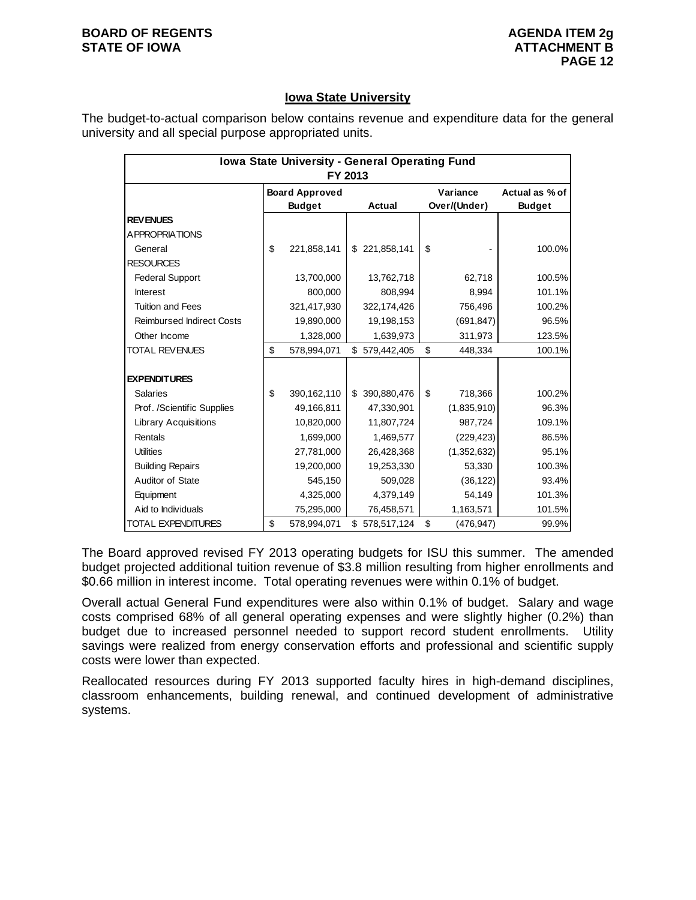#### **BOARD OF REGENTS AGENUS AGENDA ITEM 2g STATE OF IOWA ATTACHMENT B**

#### **Iowa State University**

The budget-to-actual comparison below contains revenue and expenditure data for the general university and all special purpose appropriated units.

| Iowa State University - General Operating Fund |         |                       |  |               |    |              |                |  |  |  |  |
|------------------------------------------------|---------|-----------------------|--|---------------|----|--------------|----------------|--|--|--|--|
|                                                | FY 2013 |                       |  |               |    |              |                |  |  |  |  |
|                                                |         | <b>Board Approved</b> |  |               |    | Variance     | Actual as % of |  |  |  |  |
|                                                |         | <b>Budget</b>         |  | Actual        |    | Over/(Under) | <b>Budget</b>  |  |  |  |  |
| <b>REV ENUES</b>                               |         |                       |  |               |    |              |                |  |  |  |  |
| A PPROPRIATIONS                                |         |                       |  |               |    |              |                |  |  |  |  |
| General                                        | \$      | 221,858,141           |  | \$221,858,141 | \$ |              | 100.0%         |  |  |  |  |
| <b>RESOURCES</b>                               |         |                       |  |               |    |              |                |  |  |  |  |
| <b>Federal Support</b>                         |         | 13,700,000            |  | 13,762,718    |    | 62,718       | 100.5%         |  |  |  |  |
| <b>Interest</b>                                |         | 800,000               |  | 808,994       |    | 8,994        | 101.1%         |  |  |  |  |
| <b>Tuition and Fees</b>                        |         | 321,417,930           |  | 322,174,426   |    | 756,496      | 100.2%         |  |  |  |  |
| <b>Reimbursed Indirect Costs</b>               |         | 19,890,000            |  | 19,198,153    |    | (691, 847)   | 96.5%          |  |  |  |  |
| Other Income                                   |         | 1,328,000             |  | 1,639,973     |    | 311,973      | 123.5%         |  |  |  |  |
| <b>TOTAL REVENUES</b>                          | \$      | 578,994,071           |  | \$579,442,405 | \$ | 448,334      | 100.1%         |  |  |  |  |
|                                                |         |                       |  |               |    |              |                |  |  |  |  |
| <b>EXPENDITURES</b>                            |         |                       |  |               |    |              |                |  |  |  |  |
| <b>Salaries</b>                                | \$      | 390,162,110           |  | \$390,880,476 | \$ | 718,366      | 100.2%         |  |  |  |  |
| Prof. /Scientific Supplies                     |         | 49,166,811            |  | 47,330,901    |    | (1,835,910)  | 96.3%          |  |  |  |  |
| <b>Library Acquisitions</b>                    |         | 10,820,000            |  | 11,807,724    |    | 987,724      | 109.1%         |  |  |  |  |
| Rentals                                        |         | 1,699,000             |  | 1,469,577     |    | (229, 423)   | 86.5%          |  |  |  |  |
| <b>Utilities</b>                               |         | 27,781,000            |  | 26,428,368    |    | (1,352,632)  | 95.1%          |  |  |  |  |
| <b>Building Repairs</b>                        |         | 19,200,000            |  | 19,253,330    |    | 53,330       | 100.3%         |  |  |  |  |
| Auditor of State                               |         | 545,150               |  | 509,028       |    | (36, 122)    | 93.4%          |  |  |  |  |
| Equipment                                      |         | 4,325,000             |  | 4,379,149     |    | 54,149       | 101.3%         |  |  |  |  |
| Aid to Individuals                             |         | 75,295,000            |  | 76,458,571    |    | 1,163,571    | 101.5%         |  |  |  |  |
| <b>TOTAL EXPENDITURES</b>                      | \$      | 578,994,071           |  | \$578,517,124 | \$ | (476, 947)   | 99.9%          |  |  |  |  |

The Board approved revised FY 2013 operating budgets for ISU this summer. The amended budget projected additional tuition revenue of \$3.8 million resulting from higher enrollments and \$0.66 million in interest income. Total operating revenues were within 0.1% of budget.

Overall actual General Fund expenditures were also within 0.1% of budget. Salary and wage costs comprised 68% of all general operating expenses and were slightly higher (0.2%) than budget due to increased personnel needed to support record student enrollments. Utility savings were realized from energy conservation efforts and professional and scientific supply costs were lower than expected.

Reallocated resources during FY 2013 supported faculty hires in high-demand disciplines, classroom enhancements, building renewal, and continued development of administrative systems.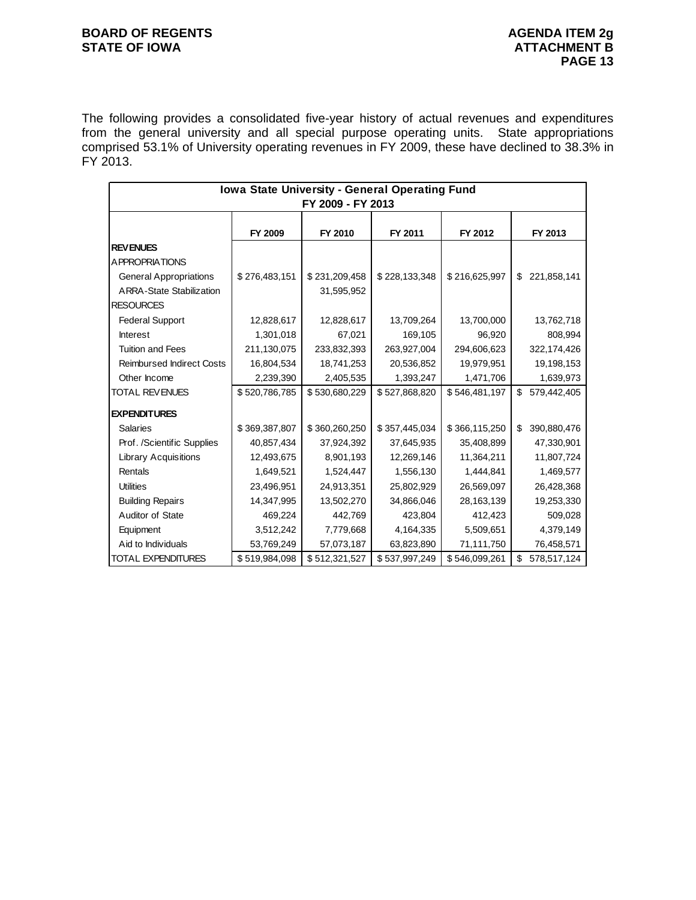#### **BOARD OF REGENTS BOARD OF REGENTS** STATE OF IOWA **ATTACHMENT B**

The following provides a consolidated five-year history of actual revenues and expenditures from the general university and all special purpose operating units. State appropriations comprised 53.1% of University operating revenues in FY 2009, these have declined to 38.3% in FY 2013.

| Iowa State University - General Operating Fund |               |                   |               |               |                   |  |  |  |
|------------------------------------------------|---------------|-------------------|---------------|---------------|-------------------|--|--|--|
|                                                |               | FY 2009 - FY 2013 |               |               |                   |  |  |  |
|                                                |               |                   |               |               |                   |  |  |  |
|                                                | FY 2009       | FY 2010           | FY 2011       | FY 2012       | FY 2013           |  |  |  |
| <b>REVENUES</b>                                |               |                   |               |               |                   |  |  |  |
| A PPROPRIATIONS                                |               |                   |               |               |                   |  |  |  |
| <b>General Appropriations</b>                  | \$276,483,151 | \$231,209,458     | \$228,133,348 | \$216,625,997 | 221,858,141<br>\$ |  |  |  |
| <b>ARRA-State Stabilization</b>                |               | 31,595,952        |               |               |                   |  |  |  |
| <b>RESOURCES</b>                               |               |                   |               |               |                   |  |  |  |
| <b>Federal Support</b>                         | 12,828,617    | 12,828,617        | 13,709,264    | 13,700,000    | 13,762,718        |  |  |  |
| <b>Interest</b>                                | 1,301,018     | 67,021            | 169,105       | 96,920        | 808,994           |  |  |  |
| <b>Tuition and Fees</b>                        | 211,130,075   | 233,832,393       | 263,927,004   | 294,606,623   | 322,174,426       |  |  |  |
| <b>Reimbursed Indirect Costs</b>               | 16,804,534    | 18,741,253        | 20,536,852    | 19,979,951    | 19,198,153        |  |  |  |
| Other Income                                   | 2,239,390     | 2,405,535         | 1,393,247     | 1,471,706     | 1,639,973         |  |  |  |
| <b>TOTAL REVENUES</b>                          | \$520,786,785 | \$530,680,229     | \$527,868,820 | \$546,481,197 | \$<br>579,442,405 |  |  |  |
| <b>EXPENDITURES</b>                            |               |                   |               |               |                   |  |  |  |
| <b>Salaries</b>                                | \$369,387,807 | \$360,260,250     | \$357,445,034 | \$366,115,250 | 390,880,476<br>\$ |  |  |  |
| Prof. /Scientific Supplies                     | 40,857,434    | 37,924,392        | 37,645,935    | 35,408,899    | 47,330,901        |  |  |  |
| <b>Library Acquisitions</b>                    | 12,493,675    | 8,901,193         | 12,269,146    | 11,364,211    | 11,807,724        |  |  |  |
| Rentals                                        | 1,649,521     | 1,524,447         | 1,556,130     | 1,444,841     | 1,469,577         |  |  |  |
| <b>Utilities</b>                               | 23,496,951    | 24,913,351        | 25,802,929    | 26,569,097    | 26,428,368        |  |  |  |
| <b>Building Repairs</b>                        | 14,347,995    | 13,502,270        | 34,866,046    | 28,163,139    | 19,253,330        |  |  |  |
|                                                |               |                   |               |               |                   |  |  |  |
| Auditor of State                               | 469,224       | 442,769           | 423,804       | 412,423       | 509,028           |  |  |  |
| Equipment                                      | 3,512,242     | 7,779,668         | 4,164,335     | 5,509,651     | 4,379,149         |  |  |  |
| Aid to Individuals                             | 53,769,249    | 57,073,187        | 63,823,890    | 71,111,750    | 76,458,571        |  |  |  |
| <b>TOTAL EXPENDITURES</b>                      | \$519,984,098 | \$512,321,527     | \$537,997,249 | \$546,099,261 | \$<br>578,517,124 |  |  |  |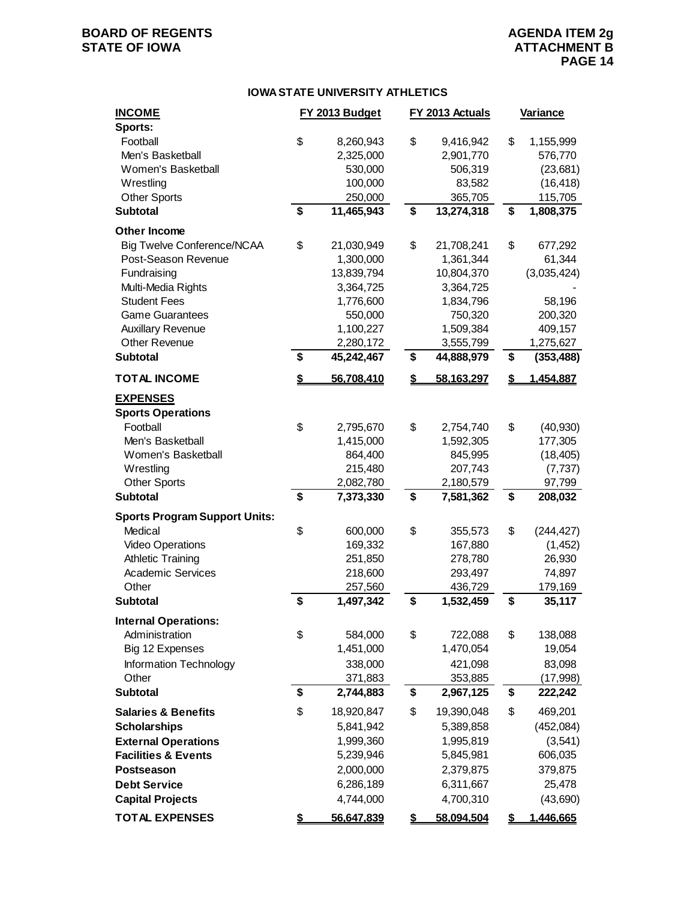## **BOARD OF REGENTS AGENUAL STATE OF IOWA**<br> **BOARD OF IOWA**<br> **BOARD OF IOWA**<br> **ATTACHMENT B**

### **ATTACHMENT B PAGE 14**

#### **IOWA STATE UNIVERSITY ATHLETICS**

| <b>INCOME</b>                        | FY 2013 Budget   | FY 2013 Actuals         | Variance         |
|--------------------------------------|------------------|-------------------------|------------------|
| Sports:                              |                  |                         |                  |
| Football                             | \$<br>8,260,943  | \$<br>9,416,942         | \$<br>1,155,999  |
| Men's Basketball                     | 2,325,000        | 2,901,770               | 576,770          |
| Women's Basketball                   | 530,000          | 506,319                 | (23, 681)        |
| Wrestling                            | 100,000          | 83,582                  | (16, 418)        |
| <b>Other Sports</b>                  | 250,000          | 365,705                 | 115,705          |
| <b>Subtotal</b>                      | \$<br>11,465,943 | \$<br>13,274,318        | \$<br>1,808,375  |
| <b>Other Income</b>                  |                  |                         |                  |
| <b>Big Twelve Conference/NCAA</b>    | \$<br>21,030,949 | \$<br>21,708,241        | \$<br>677,292    |
| Post-Season Revenue                  | 1,300,000        | 1,361,344               | 61,344           |
| Fundraising                          | 13,839,794       | 10,804,370              | (3,035,424)      |
| Multi-Media Rights                   | 3,364,725        | 3,364,725               |                  |
| <b>Student Fees</b>                  | 1,776,600        | 1,834,796               | 58,196           |
| <b>Game Guarantees</b>               | 550,000          | 750,320                 | 200,320          |
| <b>Auxillary Revenue</b>             | 1,100,227        | 1,509,384               | 409,157          |
| <b>Other Revenue</b>                 | 2,280,172        | 3,555,799               | 1,275,627        |
| <b>Subtotal</b>                      | \$<br>45,242,467 | \$<br>44,888,979        | \$<br>(353, 488) |
| <b>TOTAL INCOME</b>                  | \$<br>56,708,410 | \$<br>58,163,297        | \$<br>1,454,887  |
| <b>EXPENSES</b>                      |                  |                         |                  |
| <b>Sports Operations</b>             |                  |                         |                  |
| Football                             | \$<br>2,795,670  | \$<br>2,754,740         | \$<br>(40, 930)  |
| Men's Basketball                     | 1,415,000        | 1,592,305               | 177,305          |
| Women's Basketball                   | 864,400          | 845,995                 | (18, 405)        |
| Wrestling                            | 215,480          | 207,743                 | (7, 737)         |
| <b>Other Sports</b>                  | 2,082,780        | 2,180,579               | 97,799           |
| <b>Subtotal</b>                      | \$<br>7,373,330  | \$<br>7,581,362         | \$<br>208,032    |
| <b>Sports Program Support Units:</b> |                  |                         |                  |
| Medical                              | \$<br>600,000    | \$<br>355,573           | \$<br>(244, 427) |
| <b>Video Operations</b>              | 169,332          | 167,880                 | (1, 452)         |
| <b>Athletic Training</b>             | 251,850          | 278,780                 | 26,930           |
| <b>Academic Services</b>             | 218,600          | 293,497                 | 74,897           |
| Other                                | 257,560          | 436,729                 | 179,169          |
| <b>Subtotal</b>                      | \$<br>1,497,342  | \$<br>1,532,459         | \$<br>35,117     |
|                                      |                  |                         |                  |
| <b>Internal Operations:</b>          |                  |                         |                  |
| Administration                       | \$<br>584,000    | \$<br>722,088           | \$<br>138,088    |
| Big 12 Expenses                      | 1,451,000        | 1,470,054               | 19,054           |
| Information Technology               | 338,000          | 421,098                 | 83,098           |
| Other                                | 371,883          | 353,885                 | (17,998)         |
| <b>Subtotal</b>                      | \$<br>2,744,883  | \$<br>2,967,125         | \$<br>222,242    |
| <b>Salaries &amp; Benefits</b>       | \$<br>18,920,847 | \$<br>19,390,048        | \$<br>469,201    |
| <b>Scholarships</b>                  | 5,841,942        | 5,389,858               | (452,084)        |
| <b>External Operations</b>           | 1,999,360        | 1,995,819               | (3,541)          |
| <b>Facilities &amp; Events</b>       | 5,239,946        | 5,845,981               | 606,035          |
| Postseason                           | 2,000,000        | 2,379,875               | 379,875          |
| <b>Debt Service</b>                  | 6,286,189        | 6,311,667               | 25,478           |
| <b>Capital Projects</b>              | 4,744,000        | 4,700,310               | (43,690)         |
| <b>TOTAL EXPENSES</b>                | \$<br>56,647,839 | \$<br><u>58.094.504</u> | \$<br>1,446,665  |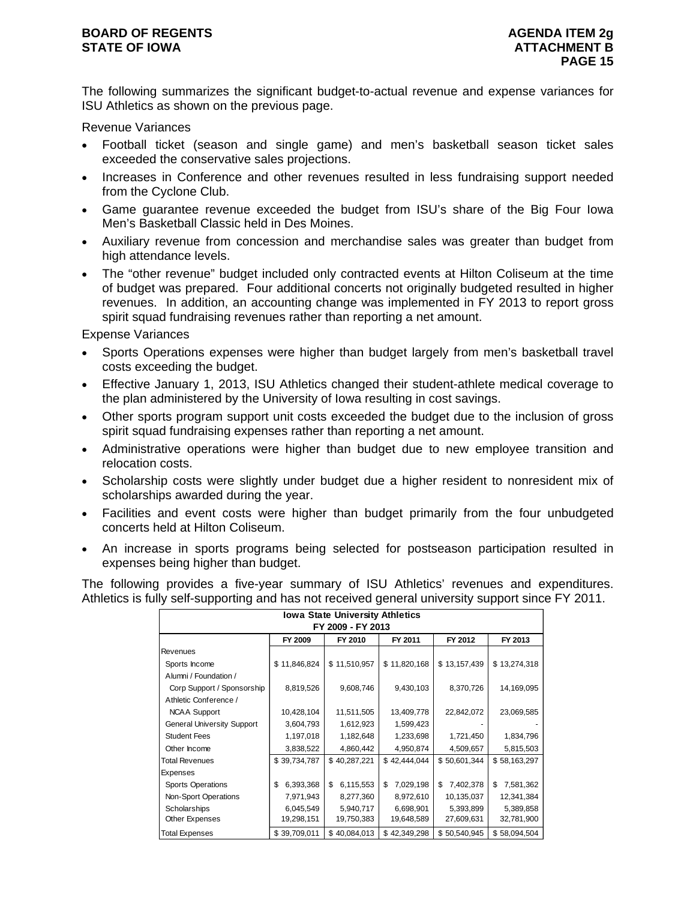#### **BOARD OF REGENTS AGENUS AGENDA ITEM 2g STATE OF IOWA** AND **ATTACHMENT B**

The following summarizes the significant budget-to-actual revenue and expense variances for ISU Athletics as shown on the previous page.

Revenue Variances

- Football ticket (season and single game) and men's basketball season ticket sales exceeded the conservative sales projections.
- Increases in Conference and other revenues resulted in less fundraising support needed from the Cyclone Club.
- Game guarantee revenue exceeded the budget from ISU's share of the Big Four Iowa Men's Basketball Classic held in Des Moines.
- Auxiliary revenue from concession and merchandise sales was greater than budget from high attendance levels.
- The "other revenue" budget included only contracted events at Hilton Coliseum at the time of budget was prepared. Four additional concerts not originally budgeted resulted in higher revenues. In addition, an accounting change was implemented in FY 2013 to report gross spirit squad fundraising revenues rather than reporting a net amount.

Expense Variances

- Sports Operations expenses were higher than budget largely from men's basketball travel costs exceeding the budget.
- Effective January 1, 2013, ISU Athletics changed their student-athlete medical coverage to the plan administered by the University of Iowa resulting in cost savings.
- Other sports program support unit costs exceeded the budget due to the inclusion of gross spirit squad fundraising expenses rather than reporting a net amount.
- Administrative operations were higher than budget due to new employee transition and relocation costs.
- Scholarship costs were slightly under budget due a higher resident to nonresident mix of scholarships awarded during the year.
- Facilities and event costs were higher than budget primarily from the four unbudgeted concerts held at Hilton Coliseum.
- An increase in sports programs being selected for postseason participation resulted in expenses being higher than budget.

The following provides a five-year summary of ISU Athletics' revenues and expenditures. Athletics is fully self-supporting and has not received general university support since FY 2011.

| <b>Iowa State University Athletics</b>              |                 |                 |                 |                 |                 |  |  |  |  |  |  |
|-----------------------------------------------------|-----------------|-----------------|-----------------|-----------------|-----------------|--|--|--|--|--|--|
| FY 2009 - FY 2013                                   |                 |                 |                 |                 |                 |  |  |  |  |  |  |
| FY 2010<br>FY 2012<br>FY 2013<br>FY 2009<br>FY 2011 |                 |                 |                 |                 |                 |  |  |  |  |  |  |
| Revenues                                            |                 |                 |                 |                 |                 |  |  |  |  |  |  |
| Sports Income                                       | \$11,846,824    | \$11,510,957    | \$11,820,168    | \$13,157,439    | \$13,274,318    |  |  |  |  |  |  |
| Alumni / Foundation /                               |                 |                 |                 |                 |                 |  |  |  |  |  |  |
| Corp Support / Sponsorship                          | 8,819,526       | 9,608,746       | 9,430,103       | 8,370,726       | 14,169,095      |  |  |  |  |  |  |
| Athletic Conference /                               |                 |                 |                 |                 |                 |  |  |  |  |  |  |
| <b>NCAA Support</b>                                 | 10,428,104      | 11,511,505      | 13,409,778      | 22,842,072      | 23,069,585      |  |  |  |  |  |  |
| <b>General University Support</b>                   | 3,604,793       | 1,612,923       | 1,599,423       |                 |                 |  |  |  |  |  |  |
| <b>Student Fees</b>                                 | 1,197,018       | 1,182,648       | 1,233,698       | 1,721,450       | 1,834,796       |  |  |  |  |  |  |
| Other Income                                        | 3,838,522       | 4,860,442       | 4,950,874       | 4,509,657       | 5,815,503       |  |  |  |  |  |  |
| <b>Total Revenues</b>                               | \$39,734,787    | \$40,287,221    | \$42,444,044    | \$50,601,344    | \$58,163,297    |  |  |  |  |  |  |
| Expenses                                            |                 |                 |                 |                 |                 |  |  |  |  |  |  |
| <b>Sports Operations</b>                            | 6,393,368<br>\$ | \$<br>6,115,553 | 7,029,198<br>\$ | 7,402,378<br>\$ | \$<br>7,581,362 |  |  |  |  |  |  |
| Non-Sport Operations                                | 7,971,943       | 8,277,360       | 8,972,610       | 10,135,037      | 12,341,384      |  |  |  |  |  |  |
| Scholarships                                        | 6,045,549       | 5,940,717       | 6,698,901       | 5,393,899       | 5,389,858       |  |  |  |  |  |  |
| Other Expenses                                      | 19,298,151      | 19,750,383      | 19,648,589      | 27,609,631      | 32,781,900      |  |  |  |  |  |  |
| <b>Total Expenses</b>                               | \$39,709,011    | \$40,084,013    | \$42,349,298    | \$50,540,945    | \$58,094,504    |  |  |  |  |  |  |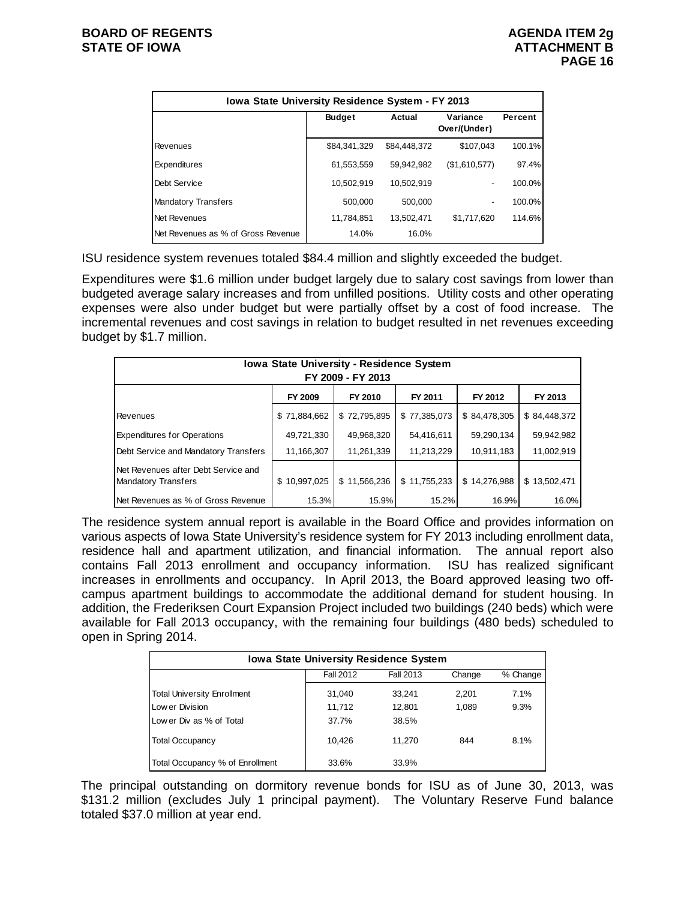| <b>Iowa State University Residence System - FY 2013</b> |               |              |                          |         |  |  |  |  |  |  |
|---------------------------------------------------------|---------------|--------------|--------------------------|---------|--|--|--|--|--|--|
|                                                         | <b>Budget</b> | Actual       | Variance<br>Over/(Under) | Percent |  |  |  |  |  |  |
| Revenues                                                | \$84.341.329  | \$84,448,372 | \$107.043                | 100.1%  |  |  |  |  |  |  |
| Expenditures                                            | 61,553,559    | 59.942.982   | (\$1,610,577)            | 97.4%   |  |  |  |  |  |  |
| Debt Service                                            | 10.502.919    | 10.502.919   | ۰                        | 100.0%  |  |  |  |  |  |  |
| <b>Mandatory Transfers</b>                              | 500.000       | 500.000      | -                        | 100.0%  |  |  |  |  |  |  |
| Net Revenues                                            | 11,784,851    | 13.502.471   | \$1.717.620              | 114.6%  |  |  |  |  |  |  |
| Net Revenues as % of Gross Revenue                      | 14.0%         | 16.0%        |                          |         |  |  |  |  |  |  |

ISU residence system revenues totaled \$84.4 million and slightly exceeded the budget.

Expenditures were \$1.6 million under budget largely due to salary cost savings from lower than budgeted average salary increases and from unfilled positions. Utility costs and other operating expenses were also under budget but were partially offset by a cost of food increase. The incremental revenues and cost savings in relation to budget resulted in net revenues exceeding budget by \$1.7 million.

| Iowa State University - Residence System<br>FY 2009 - FY 2013     |              |              |              |              |              |  |  |  |  |  |
|-------------------------------------------------------------------|--------------|--------------|--------------|--------------|--------------|--|--|--|--|--|
| FY 2009<br>FY 2010<br>FY 2011<br>FY 2012<br>FY 2013               |              |              |              |              |              |  |  |  |  |  |
| Revenues                                                          | \$71,884,662 | \$72,795,895 | \$77,385,073 | \$84,478,305 | \$84,448,372 |  |  |  |  |  |
| <b>Expenditures for Operations</b>                                | 49,721,330   | 49,968,320   | 54,416,611   | 59,290,134   | 59,942,982   |  |  |  |  |  |
| Debt Service and Mandatory Transfers                              | 11,166,307   | 11,261,339   | 11,213,229   | 10,911,183   | 11,002,919   |  |  |  |  |  |
| Net Revenues after Debt Service and<br><b>Mandatory Transfers</b> | \$10,997,025 | \$11,566,236 | \$11,755,233 | \$14,276,988 | \$13,502,471 |  |  |  |  |  |
| Net Revenues as % of Gross Revenue                                | 15.3%        | 15.9%        | 15.2%        | 16.9%        | 16.0%        |  |  |  |  |  |

The residence system annual report is available in the Board Office and provides information on various aspects of Iowa State University's residence system for FY 2013 including enrollment data, residence hall and apartment utilization, and financial information. The annual report also contains Fall 2013 enrollment and occupancy information. ISU has realized significant increases in enrollments and occupancy. In April 2013, the Board approved leasing two offcampus apartment buildings to accommodate the additional demand for student housing. In addition, the Frederiksen Court Expansion Project included two buildings (240 beds) which were available for Fall 2013 occupancy, with the remaining four buildings (480 beds) scheduled to open in Spring 2014.

| <b>Iowa State University Residence System</b> |        |        |       |      |  |  |  |  |
|-----------------------------------------------|--------|--------|-------|------|--|--|--|--|
| Fall 2012<br>Fall 2013<br>Change              |        |        |       |      |  |  |  |  |
| <b>Total University Enrollment</b>            | 31,040 | 33.241 | 2.201 | 7.1% |  |  |  |  |
| Low er Division                               | 11,712 | 12.801 | 1.089 | 9.3% |  |  |  |  |
| Low er Div as % of Total                      | 37.7%  | 38.5%  |       |      |  |  |  |  |
| <b>Total Occupancy</b>                        | 10.426 | 11.270 | 844   | 8.1% |  |  |  |  |
| Total Occupancy % of Enrollment               | 33.6%  | 33.9%  |       |      |  |  |  |  |

The principal outstanding on dormitory revenue bonds for ISU as of June 30, 2013, was \$131.2 million (excludes July 1 principal payment). The Voluntary Reserve Fund balance totaled \$37.0 million at year end.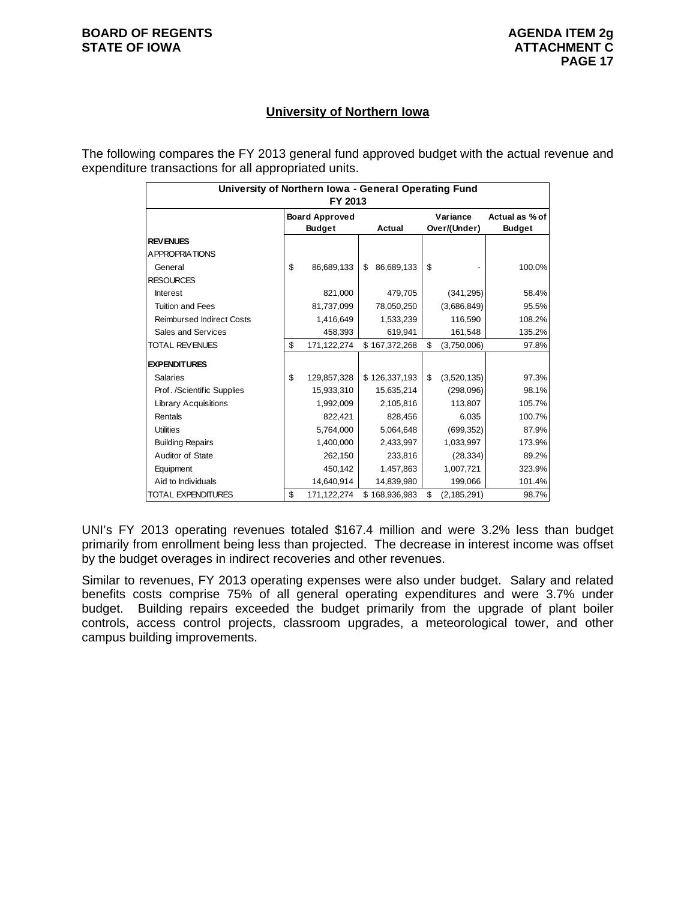#### **University of Northern Iowa**

The following compares the FY 2013 general fund approved budget with the actual revenue and expenditure transactions for all appropriated units.

| University of Northern Iowa - General Operating Fund<br>FY 2013 |                       |               |    |               |              |               |                |  |  |
|-----------------------------------------------------------------|-----------------------|---------------|----|---------------|--------------|---------------|----------------|--|--|
|                                                                 | <b>Board Approved</b> |               |    |               |              | Variance      | Actual as % of |  |  |
|                                                                 |                       | <b>Budget</b> |    | Actual        | Over/(Under) |               | <b>Budget</b>  |  |  |
| <b>REVENUES</b>                                                 |                       |               |    |               |              |               |                |  |  |
| A PPROPRIATIONS                                                 |                       |               |    |               |              |               |                |  |  |
| General                                                         | \$                    | 86,689,133    | \$ | 86,689,133    | \$           |               | 100.0%         |  |  |
| <b>RESOURCES</b>                                                |                       |               |    |               |              |               |                |  |  |
| <b>Interest</b>                                                 |                       | 821,000       |    | 479,705       |              | (341, 295)    | 58.4%          |  |  |
| <b>Tuition and Fees</b>                                         |                       | 81,737,099    |    | 78,050,250    |              | (3,686,849)   | 95.5%          |  |  |
| <b>Reimbursed Indirect Costs</b>                                |                       | 1,416,649     |    | 1,533,239     |              | 116,590       | 108.2%         |  |  |
| Sales and Services                                              |                       | 458,393       |    | 619,941       |              | 161,548       | 135.2%         |  |  |
| <b>TOTAL REVENUES</b>                                           | \$                    | 171,122,274   |    | \$167,372,268 | \$           | (3,750,006)   | 97.8%          |  |  |
| <b>EXPENDITURES</b>                                             |                       |               |    |               |              |               |                |  |  |
| <b>Salaries</b>                                                 | \$                    | 129,857,328   |    | \$126,337,193 | \$           | (3,520,135)   | 97.3%          |  |  |
| Prof. /Scientific Supplies                                      |                       | 15,933,310    |    | 15,635,214    |              | (298,096)     | 98.1%          |  |  |
| <b>Library Acquisitions</b>                                     |                       | 1,992,009     |    | 2,105,816     |              | 113,807       | 105.7%         |  |  |
| Rentals                                                         |                       | 822.421       |    | 828.456       |              | 6,035         | 100.7%         |  |  |
| <b>Utilities</b>                                                |                       | 5,764,000     |    | 5,064,648     |              | (699, 352)    | 87.9%          |  |  |
| <b>Building Repairs</b>                                         |                       | 1,400,000     |    | 2,433,997     |              | 1,033,997     | 173.9%         |  |  |
| Auditor of State                                                |                       | 262,150       |    | 233,816       |              | (28, 334)     | 89.2%          |  |  |
| Equipment                                                       |                       | 450,142       |    | 1,457,863     |              | 1,007,721     | 323.9%         |  |  |
| Aid to Individuals                                              |                       | 14,640,914    |    | 14,839,980    |              | 199,066       | 101.4%         |  |  |
| <b>TOTAL EXPENDITURES</b>                                       | \$                    | 171,122,274   |    | \$168,936,983 | \$           | (2, 185, 291) | 98.7%          |  |  |

UNI's FY 2013 operating revenues totaled \$167.4 million and were 3.2% less than budget primarily from enrollment being less than projected. The decrease in interest income was offset by the budget overages in indirect recoveries and other revenues.

Similar to revenues, FY 2013 operating expenses were also under budget. Salary and related benefits costs comprise 75% of all general operating expenditures and were 3.7% under budget. Building repairs exceeded the budget primarily from the upgrade of plant boiler controls, access control projects, classroom upgrades, a meteorological tower, and other campus building improvements.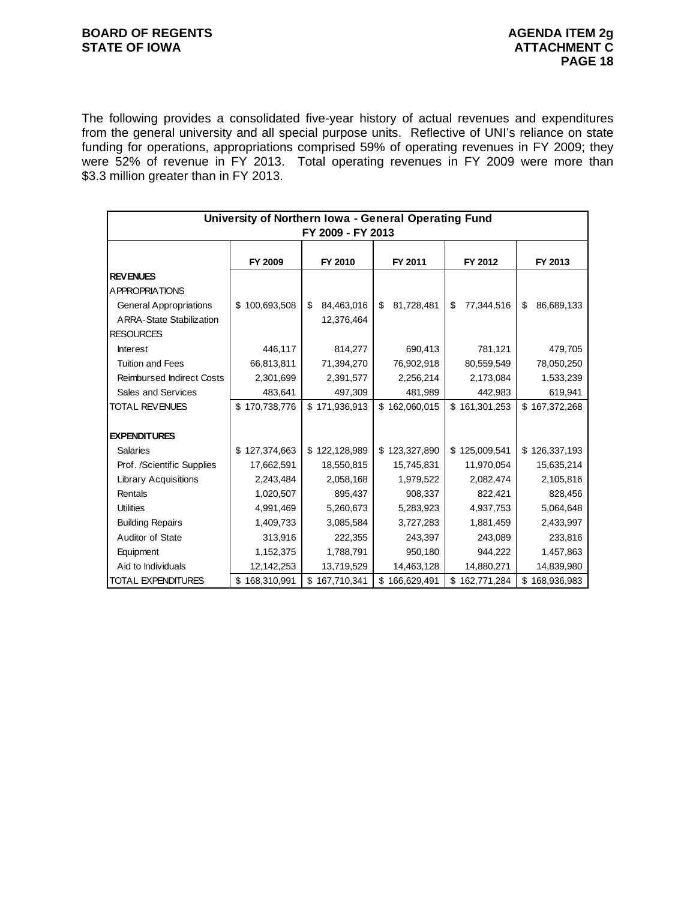The following provides a consolidated five-year history of actual revenues and expenditures from the general university and all special purpose units. Reflective of UNI's reliance on state funding for operations, appropriations comprised 59% of operating revenues in FY 2009; they were 52% of revenue in FY 2013. Total operating revenues in FY 2009 were more than \$3.3 million greater than in FY 2013.

| University of Northern Iowa - General Operating Fund<br>FY 2009 - FY 2013 |                   |                   |                  |                  |                  |  |  |  |
|---------------------------------------------------------------------------|-------------------|-------------------|------------------|------------------|------------------|--|--|--|
|                                                                           | FY 2009           | FY 2010           | FY 2011          | FY 2012          | FY 2013          |  |  |  |
| <b>REVENUES</b>                                                           |                   |                   |                  |                  |                  |  |  |  |
| A PPROPRIATIONS                                                           |                   |                   |                  |                  |                  |  |  |  |
| <b>General Appropriations</b>                                             | \$100,693,508     | 84,463,016<br>\$  | \$<br>81,728,481 | \$<br>77,344,516 | \$<br>86,689,133 |  |  |  |
| <b>ARRA-State Stabilization</b>                                           |                   | 12,376,464        |                  |                  |                  |  |  |  |
| <b>RESOURCES</b>                                                          |                   |                   |                  |                  |                  |  |  |  |
| <b>Interest</b>                                                           | 446,117           | 814,277           | 690,413          | 781,121          | 479,705          |  |  |  |
| <b>Tuition and Fees</b>                                                   | 66,813,811        | 71,394,270        | 76,902,918       | 80,559,549       | 78,050,250       |  |  |  |
| <b>Reimbursed Indirect Costs</b>                                          | 2,301,699         | 2,391,577         | 2,256,214        | 2,173,084        | 1,533,239        |  |  |  |
| Sales and Services                                                        | 483,641           | 497,309           | 481,989          | 442,983          | 619,941          |  |  |  |
| TOTAL REVENUES                                                            | \$170,738,776     | \$171,936,913     | \$162,060,015    | \$161,301,253    | \$167,372,268    |  |  |  |
|                                                                           |                   |                   |                  |                  |                  |  |  |  |
| <b>EXPENDITURES</b>                                                       |                   |                   |                  |                  |                  |  |  |  |
| <b>Salaries</b>                                                           | 127,374,663<br>\$ | \$122,128,989     | \$123,327,890    | \$125,009,541    | \$126,337,193    |  |  |  |
| Prof. /Scientific Supplies                                                | 17,662,591        | 18,550,815        | 15,745,831       | 11,970,054       | 15,635,214       |  |  |  |
| <b>Library Acquisitions</b>                                               | 2,243,484         | 2,058,168         | 1,979,522        | 2,082,474        | 2,105,816        |  |  |  |
| Rentals                                                                   | 1,020,507         | 895,437           | 908,337          | 822,421          | 828,456          |  |  |  |
| <b>Utilities</b>                                                          | 4,991,469         | 5,260,673         | 5,283,923        | 4,937,753        | 5,064,648        |  |  |  |
| <b>Building Repairs</b>                                                   | 1,409,733         | 3,085,584         | 3,727,283        | 1,881,459        | 2,433,997        |  |  |  |
| Auditor of State                                                          | 313,916           | 222,355           | 243,397          | 243,089          | 233,816          |  |  |  |
| Equipment                                                                 | 1,152,375         | 1,788,791         | 950,180          | 944,222          | 1,457,863        |  |  |  |
| Aid to Individuals                                                        | 12,142,253        | 13,719,529        | 14,463,128       | 14,880,271       | 14,839,980       |  |  |  |
| <b>TOTAL EXPENDITURES</b>                                                 | \$168,310,991     | \$<br>167,710,341 | \$166,629,491    | \$162,771,284    | \$168,936,983    |  |  |  |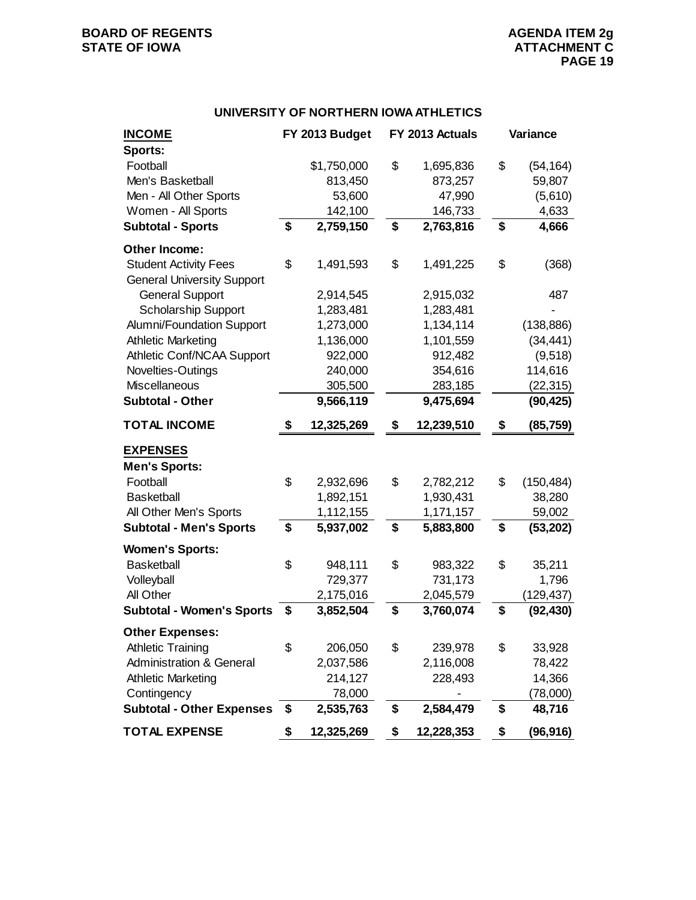## **BOARD OF REGENTS AGENERY AGENERY AGENERY AGENERY AGENERY AGENERY AGENERY ATTACHMENT C**

#### **UNIVERSITY OF NORTHERN IOWA ATHLETICS**

| <b>INCOME</b>                                                     | FY 2013 Budget   | FY 2013 Actuals  | Variance         |
|-------------------------------------------------------------------|------------------|------------------|------------------|
| Sports:<br>Football                                               | \$1,750,000      | \$<br>1,695,836  | \$<br>(54, 164)  |
| Men's Basketball                                                  | 813,450          | 873,257          | 59,807           |
| Men - All Other Sports                                            | 53,600           | 47,990           | (5,610)          |
| Women - All Sports                                                | 142,100          | 146,733          | 4,633            |
| <b>Subtotal - Sports</b>                                          | \$<br>2,759,150  | \$<br>2,763,816  | \$<br>4,666      |
| Other Income:                                                     |                  |                  |                  |
| <b>Student Activity Fees</b><br><b>General University Support</b> | \$<br>1,491,593  | \$<br>1,491,225  | \$<br>(368)      |
| <b>General Support</b>                                            | 2,914,545        | 2,915,032        | 487              |
| <b>Scholarship Support</b>                                        | 1,283,481        | 1,283,481        |                  |
| Alumni/Foundation Support                                         | 1,273,000        | 1,134,114        | (138, 886)       |
| <b>Athletic Marketing</b>                                         | 1,136,000        | 1,101,559        | (34, 441)        |
| Athletic Conf/NCAA Support                                        | 922,000          | 912,482          | (9, 518)         |
| Novelties-Outings                                                 | 240,000          | 354,616          | 114,616          |
| Miscellaneous                                                     | 305,500          | 283,185          | (22, 315)        |
| <b>Subtotal - Other</b>                                           | 9,566,119        | 9,475,694        | (90, 425)        |
| <b>TOTAL INCOME</b>                                               | \$<br>12,325,269 | \$<br>12,239,510 | \$<br>(85, 759)  |
| <b>EXPENSES</b>                                                   |                  |                  |                  |
| <b>Men's Sports:</b>                                              |                  |                  |                  |
| Football                                                          | \$<br>2,932,696  | \$<br>2,782,212  | \$<br>(150, 484) |
| <b>Basketball</b>                                                 | 1,892,151        | 1,930,431        | 38,280           |
| All Other Men's Sports                                            | 1,112,155        | 1,171,157        | 59,002           |
| <b>Subtotal - Men's Sports</b>                                    | \$<br>5,937,002  | \$<br>5,883,800  | \$<br>(53, 202)  |
| <b>Women's Sports:</b>                                            |                  |                  |                  |
| <b>Basketball</b>                                                 | \$<br>948,111    | \$<br>983,322    | \$<br>35,211     |
| Volleyball                                                        | 729,377          | 731,173          | 1,796            |
| All Other                                                         | 2,175,016        | 2,045,579        | (129,437)        |
| <b>Subtotal - Women's Sports</b>                                  | \$<br>3,852,504  | \$<br>3,760,074  | \$<br>(92, 430)  |
| <b>Other Expenses:</b>                                            |                  |                  |                  |
| <b>Athletic Training</b>                                          | \$<br>206,050    | \$<br>239,978    | \$<br>33,928     |
| <b>Administration &amp; General</b>                               | 2,037,586        | 2,116,008        | 78,422           |
| <b>Athletic Marketing</b>                                         | 214,127          | 228,493          | 14,366           |
| Contingency                                                       | 78,000           |                  | (78,000)         |
| <b>Subtotal - Other Expenses</b>                                  | \$<br>2,535,763  | \$<br>2,584,479  | \$<br>48,716     |
| <b>TOTAL EXPENSE</b>                                              | \$<br>12,325,269 | \$<br>12,228,353 | \$<br>(96, 916)  |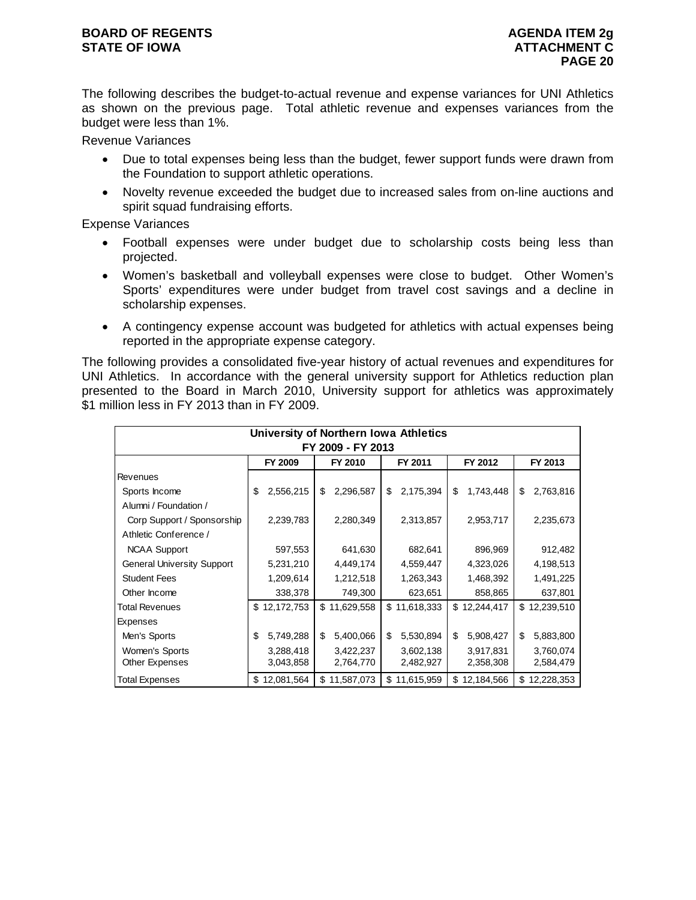#### **BOARD OF REGENTS AGENUS AGENDA ITEM 2g STATE OF IOWA ATTACHMENT C**

The following describes the budget-to-actual revenue and expense variances for UNI Athletics as shown on the previous page. Total athletic revenue and expenses variances from the budget were less than 1%.

Revenue Variances

- Due to total expenses being less than the budget, fewer support funds were drawn from the Foundation to support athletic operations.
- Novelty revenue exceeded the budget due to increased sales from on-line auctions and spirit squad fundraising efforts.

Expense Variances

- Football expenses were under budget due to scholarship costs being less than projected.
- Women's basketball and volleyball expenses were close to budget. Other Women's Sports' expenditures were under budget from travel cost savings and a decline in scholarship expenses.
- A contingency expense account was budgeted for athletics with actual expenses being reported in the appropriate expense category.

The following provides a consolidated five-year history of actual revenues and expenditures for UNI Athletics. In accordance with the general university support for Athletics reduction plan presented to the Board in March 2010, University support for athletics was approximately \$1 million less in FY 2013 than in FY 2009.

| University of Northern Iowa Athletics                                    |                 |                 |                 |                 |                 |  |  |  |  |  |
|--------------------------------------------------------------------------|-----------------|-----------------|-----------------|-----------------|-----------------|--|--|--|--|--|
| FY 2009 - FY 2013<br>FY 2010<br>FY 2009<br>FY 2011<br>FY 2012<br>FY 2013 |                 |                 |                 |                 |                 |  |  |  |  |  |
| Revenues                                                                 |                 |                 |                 |                 |                 |  |  |  |  |  |
| Sports Income                                                            | 2,556,215<br>\$ | \$<br>2,296,587 | 2,175,394<br>\$ | \$<br>1,743,448 | \$<br>2,763,816 |  |  |  |  |  |
| Alumni / Foundation /                                                    |                 |                 |                 |                 |                 |  |  |  |  |  |
| Corp Support / Sponsorship                                               | 2,239,783       | 2,280,349       | 2,313,857       | 2,953,717       | 2,235,673       |  |  |  |  |  |
| Athletic Conference /                                                    |                 |                 |                 |                 |                 |  |  |  |  |  |
| <b>NCAA Support</b>                                                      | 597,553         | 641,630         | 682,641         | 896,969         | 912,482         |  |  |  |  |  |
| <b>General University Support</b>                                        | 5,231,210       | 4,449,174       | 4,559,447       | 4,323,026       | 4,198,513       |  |  |  |  |  |
| <b>Student Fees</b>                                                      | 1,209,614       | 1,212,518       | 1,263,343       | 1,468,392       | 1,491,225       |  |  |  |  |  |
| Other Income                                                             | 338,378         | 749,300         | 623,651         | 858,865         | 637,801         |  |  |  |  |  |
| <b>Total Revenues</b>                                                    | \$12,172,753    | \$11,629,558    | \$11,618,333    | \$12,244,417    | \$12,239,510    |  |  |  |  |  |
| Expenses                                                                 |                 |                 |                 |                 |                 |  |  |  |  |  |
| Men's Sports                                                             | 5,749,288<br>\$ | \$<br>5,400,066 | 5,530,894<br>\$ | \$<br>5,908,427 | \$<br>5,883,800 |  |  |  |  |  |
| Women's Sports                                                           | 3,288,418       | 3,422,237       | 3,602,138       | 3,917,831       | 3,760,074       |  |  |  |  |  |
| Other Expenses                                                           | 3,043,858       | 2,764,770       | 2,482,927       | 2,358,308       | 2,584,479       |  |  |  |  |  |
| <b>Total Expenses</b>                                                    | \$12,081,564    | \$11,587,073    | \$11,615,959    | \$12,184,566    | \$12,228,353    |  |  |  |  |  |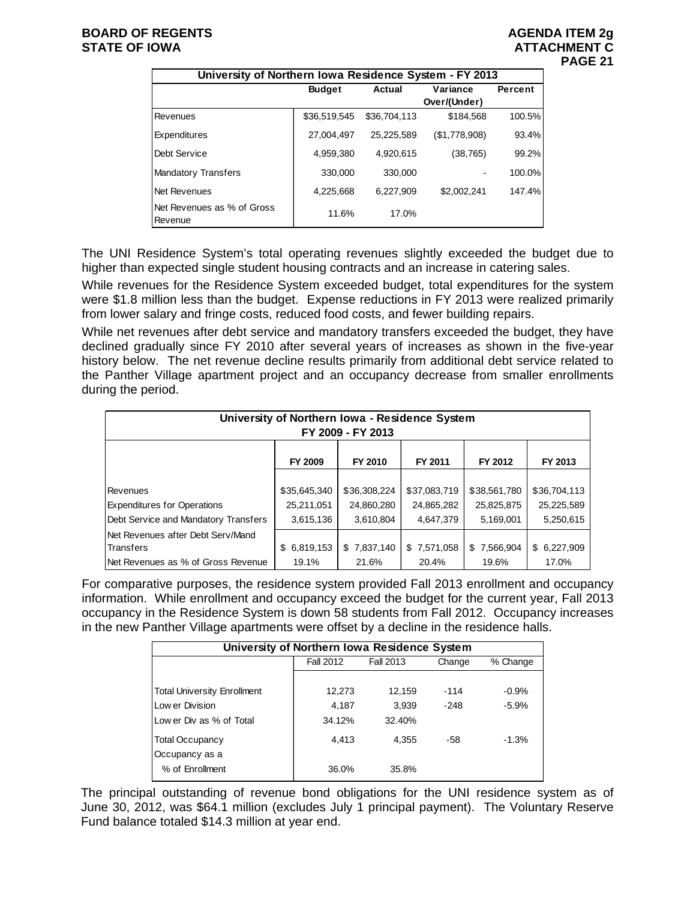| University of Northern Iowa Residence System - FY 2013 |                         |              |               |         |  |  |  |  |  |  |
|--------------------------------------------------------|-------------------------|--------------|---------------|---------|--|--|--|--|--|--|
|                                                        | <b>Budget</b><br>Actual |              | Variance      | Percent |  |  |  |  |  |  |
|                                                        |                         |              | Over/(Under)  |         |  |  |  |  |  |  |
| Revenues                                               | \$36,519,545            | \$36,704,113 | \$184.568     | 100.5%  |  |  |  |  |  |  |
| <b>Expenditures</b>                                    | 27.004.497              | 25,225,589   | (\$1,778,908) | 93.4%   |  |  |  |  |  |  |
| Debt Service                                           | 4,959,380               | 4.920.615    | (38, 765)     | 99.2%   |  |  |  |  |  |  |
| <b>Mandatory Transfers</b>                             | 330,000                 | 330,000      |               | 100.0%  |  |  |  |  |  |  |
| Net Revenues                                           | 4,225,668               | 6.227.909    | \$2,002,241   | 147.4%  |  |  |  |  |  |  |
| Net Revenues as % of Gross<br>Revenue                  | 11.6%                   | 17.0%        |               |         |  |  |  |  |  |  |

The UNI Residence System's total operating revenues slightly exceeded the budget due to higher than expected single student housing contracts and an increase in catering sales.

While revenues for the Residence System exceeded budget, total expenditures for the system were \$1.8 million less than the budget. Expense reductions in FY 2013 were realized primarily from lower salary and fringe costs, reduced food costs, and fewer building repairs.

While net revenues after debt service and mandatory transfers exceeded the budget, they have declined gradually since FY 2010 after several years of increases as shown in the five-year history below. The net revenue decline results primarily from additional debt service related to the Panther Village apartment project and an occupancy decrease from smaller enrollments during the period.

| University of Northern Iowa - Residence System<br>FY 2009 - FY 2013 |              |              |              |              |              |  |  |  |
|---------------------------------------------------------------------|--------------|--------------|--------------|--------------|--------------|--|--|--|
|                                                                     | FY 2009      | FY 2010      | FY 2011      | FY 2012      | FY 2013      |  |  |  |
|                                                                     |              |              |              |              |              |  |  |  |
| Revenues                                                            | \$35,645,340 | \$36,308,224 | \$37,083,719 | \$38,561,780 | \$36,704,113 |  |  |  |
| <b>Expenditures for Operations</b>                                  | 25,211,051   | 24,860,280   | 24,865,282   | 25,825,875   | 25,225,589   |  |  |  |
| Debt Service and Mandatory Transfers                                | 3,615,136    | 3,610,804    | 4,647,379    | 5,169,001    | 5,250,615    |  |  |  |
| Net Revenues after Debt Serv/Mand                                   |              |              |              |              |              |  |  |  |
| <b>Transfers</b>                                                    | \$6,819,153  | \$7,837,140  | \$7,571,058  | \$7,566,904  | \$6,227,909  |  |  |  |
| Net Revenues as % of Gross Revenue                                  | 19.1%        | 21.6%        | 20.4%        | 19.6%        | 17.0%        |  |  |  |

For comparative purposes, the residence system provided Fall 2013 enrollment and occupancy information. While enrollment and occupancy exceed the budget for the current year, Fall 2013 occupancy in the Residence System is down 58 students from Fall 2012. Occupancy increases in the new Panther Village apartments were offset by a decline in the residence halls.

| University of Northern Iowa Residence System |                  |           |        |          |  |  |  |  |
|----------------------------------------------|------------------|-----------|--------|----------|--|--|--|--|
|                                              | <b>Fall 2012</b> | Fall 2013 | Change | % Change |  |  |  |  |
|                                              |                  |           |        |          |  |  |  |  |
| <b>Total University Enrollment</b>           | 12,273           | 12.159    | $-114$ | $-0.9%$  |  |  |  |  |
| Low er Division                              | 4,187            | 3.939     | $-248$ | $-5.9%$  |  |  |  |  |
| Low er Div as % of Total                     | 34.12%           | 32.40%    |        |          |  |  |  |  |
| <b>Total Occupancy</b>                       | 4.413            | 4.355     | -58    | $-1.3%$  |  |  |  |  |
| Occupancy as a                               |                  |           |        |          |  |  |  |  |
| % of Enrollment                              | 36.0%            | 35.8%     |        |          |  |  |  |  |

The principal outstanding of revenue bond obligations for the UNI residence system as of June 30, 2012, was \$64.1 million (excludes July 1 principal payment). The Voluntary Reserve Fund balance totaled \$14.3 million at year end.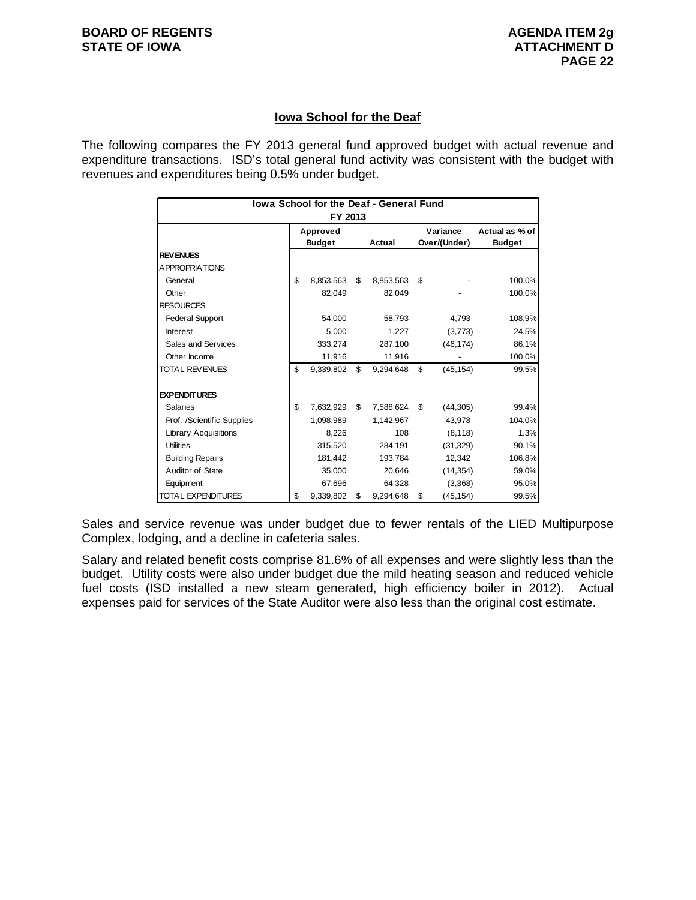#### **Iowa School for the Deaf**

The following compares the FY 2013 general fund approved budget with actual revenue and expenditure transactions. ISD's total general fund activity was consistent with the budget with revenues and expenditures being 0.5% under budget.

| lowa School for the Deaf - General Fund |          |               |    |           |              |           |                |
|-----------------------------------------|----------|---------------|----|-----------|--------------|-----------|----------------|
| FY 2013                                 |          |               |    |           |              |           |                |
|                                         | Approved |               |    |           | Variance     |           | Actual as % of |
|                                         |          | <b>Budget</b> |    | Actual    | Over/(Under) |           | <b>Budget</b>  |
| <b>REVENUES</b>                         |          |               |    |           |              |           |                |
| A PPROPRIATIONS                         |          |               |    |           |              |           |                |
| General                                 | \$       | 8,853,563     | \$ | 8,853,563 | \$           |           | 100.0%         |
| Other                                   |          | 82.049        |    | 82.049    |              |           | 100.0%         |
| <b>RESOURCES</b>                        |          |               |    |           |              |           |                |
| <b>Federal Support</b>                  |          | 54,000        |    | 58,793    |              | 4,793     | 108.9%         |
| Interest                                |          | 5.000         |    | 1,227     |              | (3,773)   | 24.5%          |
| Sales and Services                      |          | 333,274       |    | 287,100   |              | (46, 174) | 86.1%          |
| Other Income                            |          | 11,916        |    | 11,916    |              |           | 100.0%         |
| <b>TOTAL REVENUES</b>                   | \$       | 9,339,802     | \$ | 9,294,648 | \$           | (45, 154) | 99.5%          |
|                                         |          |               |    |           |              |           |                |
| <b>EXPENDITURES</b>                     |          |               |    |           |              |           |                |
| <b>Salaries</b>                         | \$       | 7,632,929     | \$ | 7,588,624 | \$           | (44, 305) | 99.4%          |
| Prof. /Scientific Supplies              |          | 1.098.989     |    | 1.142.967 |              | 43.978    | 104.0%         |
| Library Acquisitions                    |          | 8,226         |    | 108       |              | (8, 118)  | 1.3%           |
| <b>Utilities</b>                        |          | 315,520       |    | 284,191   |              | (31, 329) | 90.1%          |
| <b>Building Repairs</b>                 |          | 181.442       |    | 193.784   |              | 12.342    | 106.8%         |
| Auditor of State                        |          | 35,000        |    | 20,646    |              | (14, 354) | 59.0%          |
| Equipment                               |          | 67,696        |    | 64,328    |              | (3,368)   | 95.0%          |
| TOTAL EXPENDITURES                      | \$       | 9,339,802     | \$ | 9,294,648 | \$           | (45, 154) | 99.5%          |

Sales and service revenue was under budget due to fewer rentals of the LIED Multipurpose Complex, lodging, and a decline in cafeteria sales.

Salary and related benefit costs comprise 81.6% of all expenses and were slightly less than the budget. Utility costs were also under budget due the mild heating season and reduced vehicle fuel costs (ISD installed a new steam generated, high efficiency boiler in 2012). Actual expenses paid for services of the State Auditor were also less than the original cost estimate.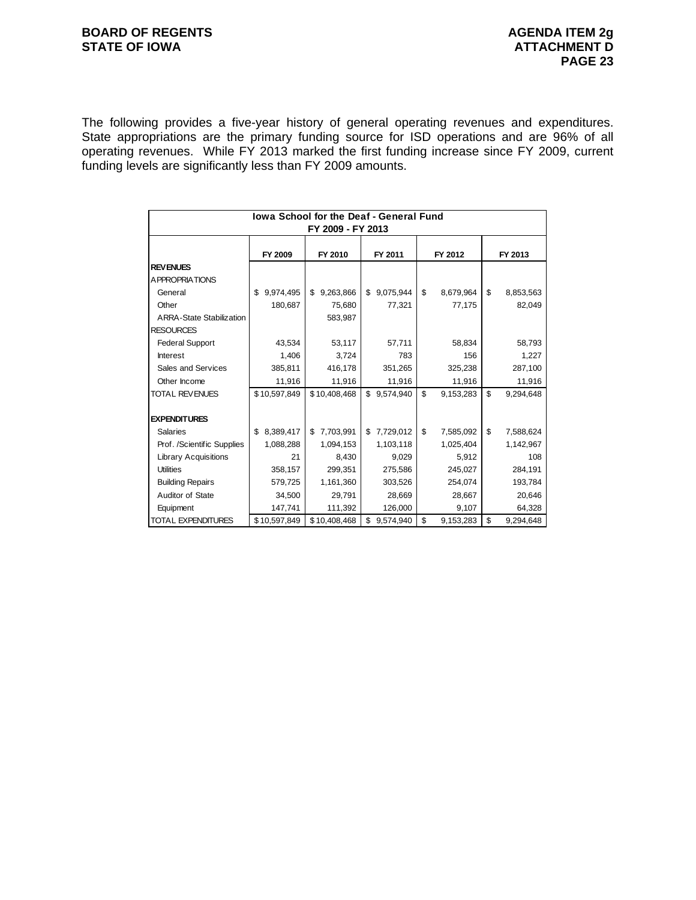### **BOARD OF REGENTS**<br> **BOARD OF REGENTS**<br> **BOARD OF IOWA**<br> **ATTACHMENT D**

The following provides a five-year history of general operating revenues and expenditures. State appropriations are the primary funding source for ISD operations and are 96% of all operating revenues. While FY 2013 marked the first funding increase since FY 2009, current funding levels are significantly less than FY 2009 amounts.

| <b>Iowa School for the Deaf - General Fund</b><br>FY 2009 - FY 2013 |                 |                 |                 |                 |                 |  |  |
|---------------------------------------------------------------------|-----------------|-----------------|-----------------|-----------------|-----------------|--|--|
|                                                                     |                 |                 |                 |                 |                 |  |  |
|                                                                     | FY 2009         | FY 2010         | FY 2011         | FY 2012         | FY 2013         |  |  |
| <b>REVENUES</b>                                                     |                 |                 |                 |                 |                 |  |  |
| A PPROPRIATIONS                                                     |                 |                 |                 |                 |                 |  |  |
| General                                                             | 9,974,495<br>\$ | 9,263,866<br>\$ | 9,075,944<br>\$ | \$<br>8,679,964 | \$<br>8,853,563 |  |  |
| Other                                                               | 180,687         | 75,680          | 77,321          | 77,175          | 82,049          |  |  |
| ARRA-State Stabilization                                            |                 | 583,987         |                 |                 |                 |  |  |
| <b>RESOURCES</b>                                                    |                 |                 |                 |                 |                 |  |  |
| <b>Federal Support</b>                                              | 43,534          | 53,117          | 57,711          | 58,834          | 58,793          |  |  |
| <b>Interest</b>                                                     | 1,406           | 3,724           | 783             | 156             | 1,227           |  |  |
| Sales and Services                                                  | 385,811         | 416,178         | 351,265         | 325,238         | 287,100         |  |  |
| Other Income                                                        | 11,916          | 11,916          | 11,916          | 11,916          | 11,916          |  |  |
| <b>TOTAL REVENUES</b>                                               | \$10,597,849    | \$10.408.468    | \$<br>9,574,940 | \$<br>9,153,283 | \$<br>9,294,648 |  |  |
|                                                                     |                 |                 |                 |                 |                 |  |  |
| <b>EXPENDITURES</b>                                                 |                 |                 |                 |                 |                 |  |  |
| <b>Salaries</b>                                                     | 8,389,417<br>\$ | 7,703,991<br>\$ | 7,729,012<br>\$ | \$<br>7,585,092 | \$<br>7,588,624 |  |  |
| Prof. /Scientific Supplies                                          | 1,088,288       | 1,094,153       | 1,103,118       | 1,025,404       | 1,142,967       |  |  |
| <b>Library Acquisitions</b>                                         | 21              | 8,430           | 9,029           | 5,912           | 108             |  |  |
| <b>Utilities</b>                                                    | 358,157         | 299,351         | 275,586         | 245,027         | 284,191         |  |  |
| <b>Building Repairs</b>                                             | 579,725         | 1,161,360       | 303,526         | 254,074         | 193,784         |  |  |
| Auditor of State                                                    | 34,500          | 29,791          | 28,669          | 28,667          | 20,646          |  |  |
| Equipment                                                           | 147,741         | 111,392         | 126,000         | 9,107           | 64,328          |  |  |
| <b>TOTAL EXPENDITURES</b>                                           | \$10,597,849    | \$10,408,468    | \$<br>9,574,940 | \$<br>9,153,283 | \$<br>9,294,648 |  |  |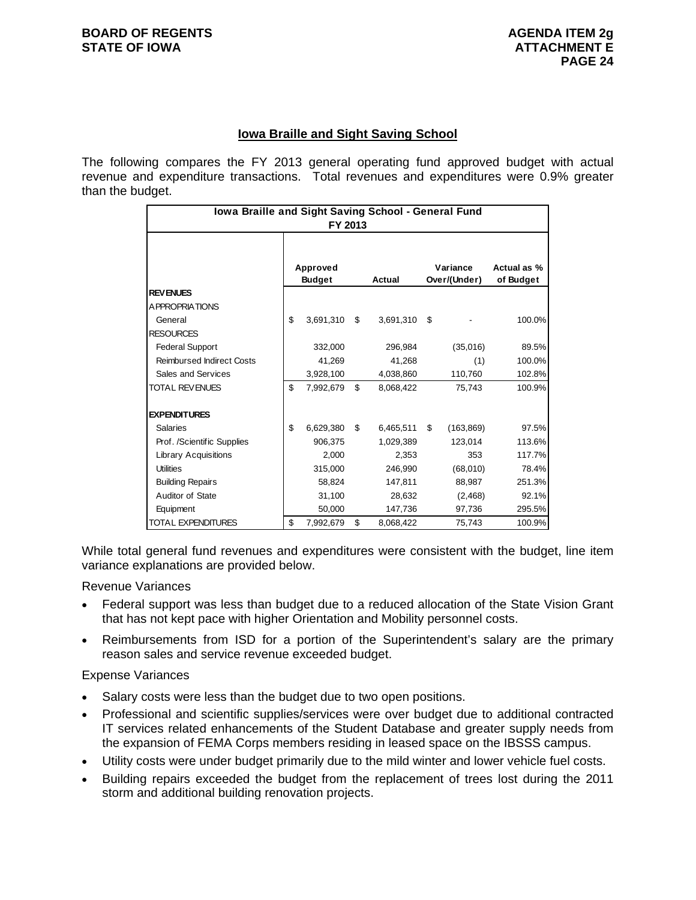#### **Iowa Braille and Sight Saving School**

The following compares the FY 2013 general operating fund approved budget with actual revenue and expenditure transactions. Total revenues and expenditures were 0.9% greater than the budget.

| Iowa Braille and Sight Saving School - General Fund<br>FY 2013 |    |               |     |               |    |              |             |
|----------------------------------------------------------------|----|---------------|-----|---------------|----|--------------|-------------|
|                                                                |    |               |     |               |    |              |             |
|                                                                |    | Approved      |     |               |    | Variance     | Actual as % |
|                                                                |    | <b>Budget</b> |     | <b>Actual</b> |    | Over/(Under) | of Budget   |
| <b>REVENUES</b>                                                |    |               |     |               |    |              |             |
| <b>APPROPRIATIONS</b>                                          |    |               |     |               |    |              |             |
| General                                                        | \$ | 3,691,310     | \$  | 3,691,310     | \$ |              | 100.0%      |
| <b>RESOURCES</b>                                               |    |               |     |               |    |              |             |
| <b>Federal Support</b>                                         |    | 332,000       |     | 296,984       |    | (35,016)     | 89.5%       |
| <b>Reimbursed Indirect Costs</b>                               |    | 41,269        |     | 41,268        |    | (1)          | 100.0%      |
| Sales and Services                                             |    | 3,928,100     |     | 4,038,860     |    | 110,760      | 102.8%      |
| <b>TOTAL REVENUES</b>                                          | \$ | 7,992,679     | \$  | 8,068,422     |    | 75,743       | 100.9%      |
|                                                                |    |               |     |               |    |              |             |
| <b>EXPENDITURES</b>                                            |    |               |     |               |    |              |             |
| <b>Salaries</b>                                                | \$ | 6,629,380     | \$. | 6,465,511     | \$ | (163, 869)   | 97.5%       |
| Prof. /Scientific Supplies                                     |    | 906.375       |     | 1,029,389     |    | 123.014      | 113.6%      |
| <b>Library Acquisitions</b>                                    |    | 2,000         |     | 2,353         |    | 353          | 117.7%      |
| <b>Utilities</b>                                               |    | 315,000       |     | 246,990       |    | (68,010)     | 78.4%       |
| <b>Building Repairs</b>                                        |    | 58,824        |     | 147,811       |    | 88,987       | 251.3%      |
| Auditor of State                                               |    | 31,100        |     | 28,632        |    | (2,468)      | 92.1%       |
| Equipment                                                      |    | 50,000        |     | 147,736       |    | 97,736       | 295.5%      |
| <b>TOTAL EXPENDITURES</b>                                      | \$ | 7,992,679     | \$  | 8,068,422     |    | 75,743       | 100.9%      |

While total general fund revenues and expenditures were consistent with the budget, line item variance explanations are provided below.

Revenue Variances

- Federal support was less than budget due to a reduced allocation of the State Vision Grant that has not kept pace with higher Orientation and Mobility personnel costs.
- Reimbursements from ISD for a portion of the Superintendent's salary are the primary reason sales and service revenue exceeded budget.

Expense Variances

- Salary costs were less than the budget due to two open positions.
- Professional and scientific supplies/services were over budget due to additional contracted IT services related enhancements of the Student Database and greater supply needs from the expansion of FEMA Corps members residing in leased space on the IBSSS campus.
- Utility costs were under budget primarily due to the mild winter and lower vehicle fuel costs.
- Building repairs exceeded the budget from the replacement of trees lost during the 2011 storm and additional building renovation projects.